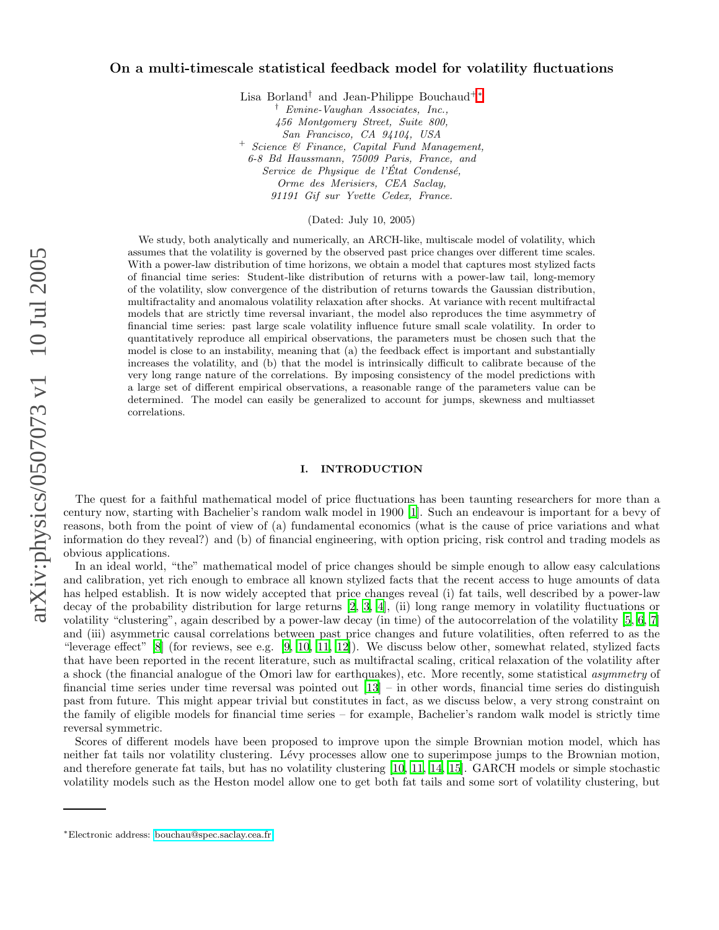# On a multi-timescale statistical feedback model for volatility fluctuations

Lisa Borland<sup>†</sup> and Jean-Philippe Bouchaud<sup>+\*</sup>

† Evnine-Vaughan Associates, Inc., 456 Montgomery Street, Suite 800, San Francisco, CA 94104, USA <sup>+</sup> Science & Finance, Capital Fund Management, 6-8 Bd Haussmann, 75009 Paris, France, and Service de Physique de l'État Condensé. Orme des Merisiers, CEA Saclay, 91191 Gif sur Yvette Cedex, France.

(Dated: July 10, 2005)

We study, both analytically and numerically, an ARCH-like, multiscale model of volatility, which assumes that the volatility is governed by the observed past price changes over different time scales. With a power-law distribution of time horizons, we obtain a model that captures most stylized facts of financial time series: Student-like distribution of returns with a power-law tail, long-memory of the volatility, slow convergence of the distribution of returns towards the Gaussian distribution, multifractality and anomalous volatility relaxation after shocks. At variance with recent multifractal models that are strictly time reversal invariant, the model also reproduces the time asymmetry of financial time series: past large scale volatility influence future small scale volatility. In order to quantitatively reproduce all empirical observations, the parameters must be chosen such that the model is close to an instability, meaning that (a) the feedback effect is important and substantially increases the volatility, and (b) that the model is intrinsically difficult to calibrate because of the very long range nature of the correlations. By imposing consistency of the model predictions with a large set of different empirical observations, a reasonable range of the parameters value can be determined. The model can easily be generalized to account for jumps, skewness and multiasset correlations.

## I. INTRODUCTION

The quest for a faithful mathematical model of price fluctuations has been taunting researchers for more than a century now, starting with Bachelier's random walk model in 1900 [\[1\]](#page-20-0). Such an endeavour is important for a bevy of reasons, both from the point of view of (a) fundamental economics (what is the cause of price variations and what information do they reveal?) and (b) of financial engineering, with option pricing, risk control and trading models as obvious applications.

In an ideal world, "the" mathematical model of price changes should be simple enough to allow easy calculations and calibration, yet rich enough to embrace all known stylized facts that the recent access to huge amounts of data has helped establish. It is now widely accepted that price changes reveal (i) fat tails, well described by a power-law decay of the probability distribution for large returns [\[2,](#page-20-1) [3,](#page-20-2) [4\]](#page-20-3), (ii) long range memory in volatility fluctuations or volatility "clustering", again described by a power-law decay (in time) of the autocorrelation of the volatility [\[5](#page-20-4), [6](#page-20-5), [7](#page-20-6)] and (iii) asymmetric causal correlations between past price changes and future volatilities, often referred to as the "leverage effect"  $[8]$  (for reviews, see e.g.  $[9, 10, 11, 12]$  $[9, 10, 11, 12]$  $[9, 10, 11, 12]$  $[9, 10, 11, 12]$  $[9, 10, 11, 12]$ ). We discuss below other, somewhat related, stylized facts that have been reported in the recent literature, such as multifractal scaling, critical relaxation of the volatility after a shock (the financial analogue of the Omori law for earthquakes), etc. More recently, some statistical asymmetry of financial time series under time reversal was pointed out [\[13](#page-20-12)] – in other words, financial time series do distinguish past from future. This might appear trivial but constitutes in fact, as we discuss below, a very strong constraint on the family of eligible models for financial time series – for example, Bachelier's random walk model is strictly time reversal symmetric.

Scores of different models have been proposed to improve upon the simple Brownian motion model, which has neither fat tails nor volatility clustering. Lévy processes allow one to superimpose jumps to the Brownian motion, and therefore generate fat tails, but has no volatility clustering [\[10,](#page-20-9) [11,](#page-20-10) [14,](#page-20-13) [15\]](#page-20-14). GARCH models or simple stochastic volatility models such as the Heston model allow one to get both fat tails and some sort of volatility clustering, but

<span id="page-0-0"></span><sup>∗</sup>Electronic address: [bouchau@spec.saclay.cea.fr](mailto:bouchau@spec.saclay.cea.fr)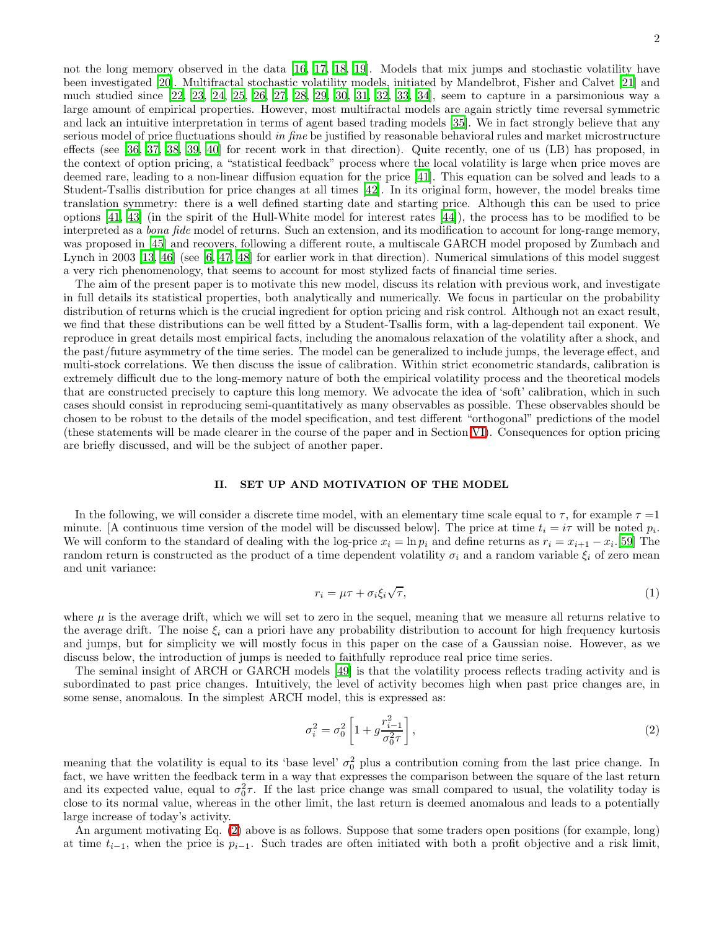not the long memory observed in the data [\[16,](#page-20-15) [17,](#page-20-16) [18,](#page-20-17) [19\]](#page-20-18). Models that mix jumps and stochastic volatility have been investigated [\[20\]](#page-20-19). Multifractal stochastic volatility models, initiated by Mandelbrot, Fisher and Calvet [\[21\]](#page-20-20) and much studied since [\[22](#page-20-21), [23,](#page-20-22) [24](#page-20-23), [25,](#page-20-24) [26,](#page-20-25) [27](#page-20-26), [28,](#page-20-27) [29](#page-20-28), [30,](#page-20-29) [31](#page-20-30), [32,](#page-20-31) [33](#page-21-0), [34\]](#page-21-1), seem to capture in a parsimonious way a large amount of empirical properties. However, most multifractal models are again strictly time reversal symmetric and lack an intuitive interpretation in terms of agent based trading models [\[35\]](#page-21-2). We in fact strongly believe that any serious model of price fluctuations should in fine be justified by reasonable behavioral rules and market microstructure effects (see [\[36](#page-21-3), [37](#page-21-4), [38](#page-21-5), [39](#page-21-6), [40](#page-21-7)] for recent work in that direction). Quite recently, one of us (LB) has proposed, in the context of option pricing, a "statistical feedback" process where the local volatility is large when price moves are deemed rare, leading to a non-linear diffusion equation for the price [\[41\]](#page-21-8). This equation can be solved and leads to a Student-Tsallis distribution for price changes at all times [\[42\]](#page-21-9). In its original form, however, the model breaks time translation symmetry: there is a well defined starting date and starting price. Although this can be used to price options [\[41](#page-21-8), [43\]](#page-21-10) (in the spirit of the Hull-White model for interest rates [\[44\]](#page-21-11)), the process has to be modified to be interpreted as a *bona fide* model of returns. Such an extension, and its modification to account for long-range memory, was proposed in [\[45](#page-21-12)] and recovers, following a different route, a multiscale GARCH model proposed by Zumbach and Lynch in 2003 [\[13](#page-20-12), [46](#page-21-13)] (see [\[6,](#page-20-5) [47,](#page-21-14) [48\]](#page-21-15) for earlier work in that direction). Numerical simulations of this model suggest a very rich phenomenology, that seems to account for most stylized facts of financial time series.

The aim of the present paper is to motivate this new model, discuss its relation with previous work, and investigate in full details its statistical properties, both analytically and numerically. We focus in particular on the probability distribution of returns which is the crucial ingredient for option pricing and risk control. Although not an exact result, we find that these distributions can be well fitted by a Student-Tsallis form, with a lag-dependent tail exponent. We reproduce in great details most empirical facts, including the anomalous relaxation of the volatility after a shock, and the past/future asymmetry of the time series. The model can be generalized to include jumps, the leverage effect, and multi-stock correlations. We then discuss the issue of calibration. Within strict econometric standards, calibration is extremely difficult due to the long-memory nature of both the empirical volatility process and the theoretical models that are constructed precisely to capture this long memory. We advocate the idea of 'soft' calibration, which in such cases should consist in reproducing semi-quantitatively as many observables as possible. These observables should be chosen to be robust to the details of the model specification, and test different "orthogonal" predictions of the model (these statements will be made clearer in the course of the paper and in Section [VI\)](#page-16-0). Consequences for option pricing are briefly discussed, and will be the subject of another paper.

## II. SET UP AND MOTIVATION OF THE MODEL

<span id="page-1-2"></span>In the following, we will consider a discrete time model, with an elementary time scale equal to  $\tau$ , for example  $\tau = 1$ minute. [A continuous time version of the model will be discussed below]. The price at time  $t_i = i\tau$  will be noted  $p_i$ . We will conform to the standard of dealing with the log-price  $x_i = \ln p_i$  and define returns as  $r_i = x_{i+1} - x_i$ .[\[59\]](#page-21-16) The random return is constructed as the product of a time dependent volatility  $\sigma_i$  and a random variable  $\xi_i$  of zero mean and unit variance:

<span id="page-1-1"></span>
$$
r_i = \mu \tau + \sigma_i \xi_i \sqrt{\tau},\tag{1}
$$

where  $\mu$  is the average drift, which we will set to zero in the sequel, meaning that we measure all returns relative to the average drift. The noise  $\xi_i$  can a priori have any probability distribution to account for high frequency kurtosis and jumps, but for simplicity we will mostly focus in this paper on the case of a Gaussian noise. However, as we discuss below, the introduction of jumps is needed to faithfully reproduce real price time series.

The seminal insight of ARCH or GARCH models [\[49](#page-21-17)] is that the volatility process reflects trading activity and is subordinated to past price changes. Intuitively, the level of activity becomes high when past price changes are, in some sense, anomalous. In the simplest ARCH model, this is expressed as:

<span id="page-1-0"></span>
$$
\sigma_i^2 = \sigma_0^2 \left[ 1 + g \frac{r_{i-1}^2}{\sigma_0^2 \tau} \right],\tag{2}
$$

meaning that the volatility is equal to its 'base level'  $\sigma_0^2$  plus a contribution coming from the last price change. In fact, we have written the feedback term in a way that expresses the comparison between the square of the last return and its expected value, equal to  $\sigma_0^2 \tau$ . If the last price change was small compared to usual, the volatility today is close to its normal value, whereas in the other limit, the last return is deemed anomalous and leads to a potentially large increase of today's activity.

An argument motivating Eq. [\(2\)](#page-1-0) above is as follows. Suppose that some traders open positions (for example, long) at time  $t_{i-1}$ , when the price is  $p_{i-1}$ . Such trades are often initiated with both a profit objective and a risk limit,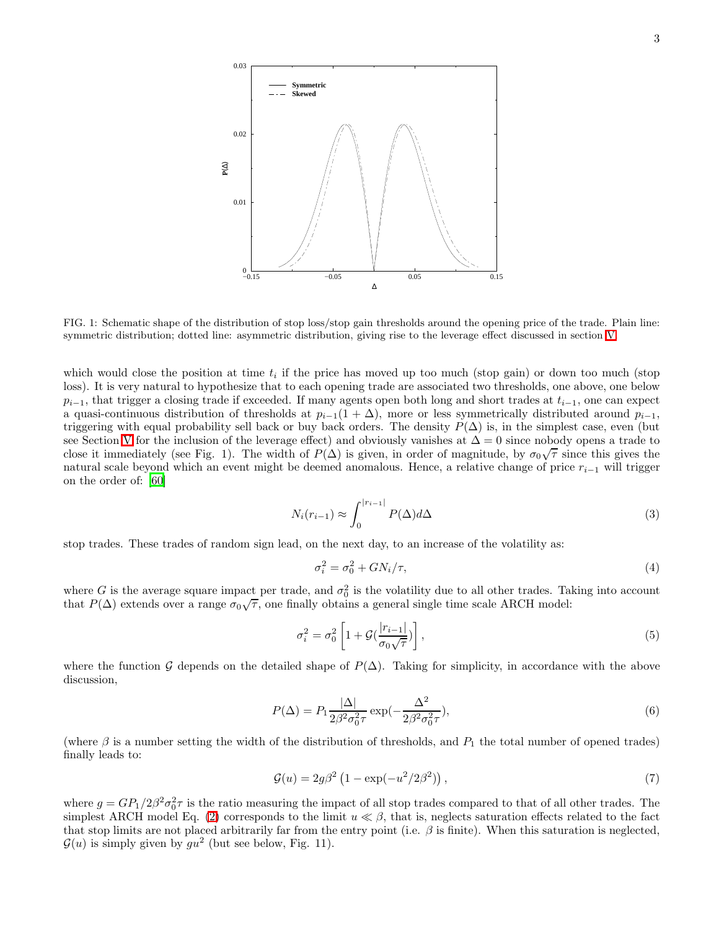

FIG. 1: Schematic shape of the distribution of stop loss/stop gain thresholds around the opening price of the trade. Plain line: symmetric distribution; dotted line: asymmetric distribution, giving rise to the leverage effect discussed in section [V.](#page-15-0)

which would close the position at time  $t_i$  if the price has moved up too much (stop gain) or down too much (stop loss). It is very natural to hypothesize that to each opening trade are associated two thresholds, one above, one below  $p_{i-1}$ , that trigger a closing trade if exceeded. If many agents open both long and short trades at  $t_{i-1}$ , one can expect a quasi-continuous distribution of thresholds at  $p_{i-1}(1+\Delta)$ , more or less symmetrically distributed around  $p_{i-1}$ , triggering with equal probability sell back or buy back orders. The density  $P(\Delta)$  is, in the simplest case, even (but see Section [V](#page-15-0) for the inclusion of the leverage effect) and obviously vanishes at  $\Delta = 0$  since nobody opens a trade to close it immediately (see Fig. 1). The width of  $P(\Delta)$  is given, in order of magnitude, by  $\sigma_0\sqrt{\tau}$  since this gives the natural scale beyond which an event might be deemed anomalous. Hence, a relative change of price  $r_{i-1}$  will trigger on the order of: [\[60\]](#page-21-18)

$$
N_i(r_{i-1}) \approx \int_0^{|r_{i-1}|} P(\Delta) d\Delta \tag{3}
$$

stop trades. These trades of random sign lead, on the next day, to an increase of the volatility as:

$$
\sigma_i^2 = \sigma_0^2 + GN_i/\tau,\tag{4}
$$

where G is the average square impact per trade, and  $\sigma_0^2$  is the volatility due to all other trades. Taking into account that  $P(\Delta)$  extends over a range  $\sigma_0\sqrt{\tau}$ , one finally obtains a general single time scale ARCH model:

<span id="page-2-0"></span>
$$
\sigma_i^2 = \sigma_0^2 \left[ 1 + \mathcal{G} \left( \frac{|r_{i-1}|}{\sigma_0 \sqrt{\tau}} \right) \right],\tag{5}
$$

where the function G depends on the detailed shape of  $P(\Delta)$ . Taking for simplicity, in accordance with the above discussion,

$$
P(\Delta) = P_1 \frac{|\Delta|}{2\beta^2 \sigma_0^2 \tau} \exp(-\frac{\Delta^2}{2\beta^2 \sigma_0^2 \tau}),
$$
\n(6)

(where  $\beta$  is a number setting the width of the distribution of thresholds, and  $P_1$  the total number of opened trades) finally leads to:

$$
\mathcal{G}(u) = 2g\beta^2 \left(1 - \exp(-u^2/2\beta^2)\right),\tag{7}
$$

where  $g = GP_1/2\beta^2\sigma_0^2\tau$  is the ratio measuring the impact of all stop trades compared to that of all other trades. The simplest ARCH model Eq. [\(2\)](#page-1-0) corresponds to the limit  $u \ll \beta$ , that is, neglects saturation effects related to the fact that stop limits are not placed arbitrarily far from the entry point (i.e.  $\beta$  is finite). When this saturation is neglected,  $\mathcal{G}(u)$  is simply given by  $g u^2$  (but see below, Fig. 11).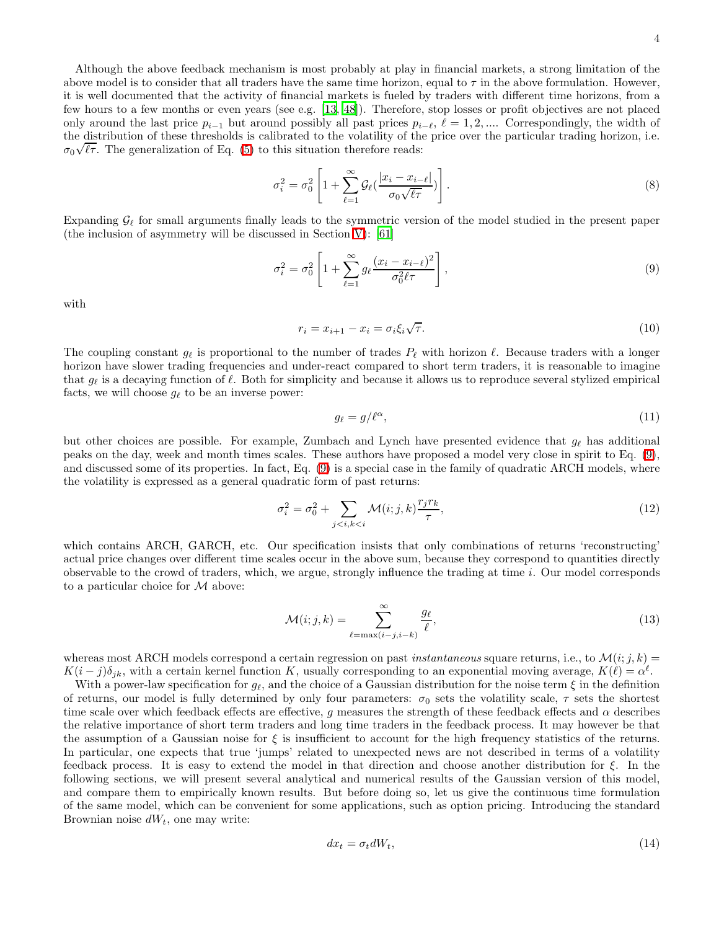Although the above feedback mechanism is most probably at play in financial markets, a strong limitation of the above model is to consider that all traders have the same time horizon, equal to  $\tau$  in the above formulation. However, it is well documented that the activity of financial markets is fueled by traders with different time horizons, from a few hours to a few months or even years (see e.g. [\[13,](#page-20-12) [48\]](#page-21-15)). Therefore, stop losses or profit objectives are not placed only around the last price  $p_{i-1}$  but around possibly all past prices  $p_{i-\ell}, \ell = 1, 2, ...$  Correspondingly, the width of the distribution of these thresholds is calibrated to the volatility of the price over the particular trading horizon, i.e.  $\sigma_0\sqrt{\ell\tau}$ . The generalization of Eq. [\(5\)](#page-2-0) to this situation therefore reads:

$$
\sigma_i^2 = \sigma_0^2 \left[ 1 + \sum_{\ell=1}^{\infty} \mathcal{G}_{\ell} \left( \frac{|x_i - x_{i-\ell}|}{\sigma_0 \sqrt{\ell \tau}} \right) \right]. \tag{8}
$$

Expanding  $\mathcal{G}_{\ell}$  for small arguments finally leads to the symmetric version of the model studied in the present paper (the inclusion of asymmetry will be discussed in Section [V\)](#page-15-0): [\[61](#page-21-19)]

<span id="page-3-0"></span>
$$
\sigma_i^2 = \sigma_0^2 \left[ 1 + \sum_{\ell=1}^{\infty} g_\ell \frac{(x_i - x_{i-\ell})^2}{\sigma_0^2 \ell \tau} \right],\tag{9}
$$

with

$$
r_i = x_{i+1} - x_i = \sigma_i \xi_i \sqrt{\tau}.
$$
\n<sup>(10)</sup>

The coupling constant  $g_{\ell}$  is proportional to the number of trades  $P_{\ell}$  with horizon  $\ell$ . Because traders with a longer horizon have slower trading frequencies and under-react compared to short term traders, it is reasonable to imagine that  $g_\ell$  is a decaying function of  $\ell$ . Both for simplicity and because it allows us to reproduce several stylized empirical facts, we will choose  $g_{\ell}$  to be an inverse power:

$$
g_{\ell} = g/\ell^{\alpha},\tag{11}
$$

but other choices are possible. For example, Zumbach and Lynch have presented evidence that  $g_{\ell}$  has additional peaks on the day, week and month times scales. These authors have proposed a model very close in spirit to Eq. [\(9\)](#page-3-0), and discussed some of its properties. In fact, Eq. [\(9\)](#page-3-0) is a special case in the family of quadratic ARCH models, where the volatility is expressed as a general quadratic form of past returns:

$$
\sigma_i^2 = \sigma_0^2 + \sum_{j < i, k < i} \mathcal{M}(i; j, k) \frac{r_j r_k}{\tau},\tag{12}
$$

which contains ARCH, GARCH, etc. Our specification insists that only combinations of returns 'reconstructing' actual price changes over different time scales occur in the above sum, because they correspond to quantities directly observable to the crowd of traders, which, we argue, strongly influence the trading at time i. Our model corresponds to a particular choice for M above:

$$
\mathcal{M}(i;j,k) = \sum_{\ell = \max(i-j,i-k)}^{\infty} \frac{g_{\ell}}{\ell},\tag{13}
$$

whereas most ARCH models correspond a certain regression on past *instantaneous* square returns, i.e., to  $\mathcal{M}(i; j, k)$  $K(i-j)\delta_{jk}$ , with a certain kernel function K, usually corresponding to an exponential moving average,  $K(\ell) = \alpha^{\ell}$ .

With a power-law specification for  $g_{\ell}$ , and the choice of a Gaussian distribution for the noise term  $\xi$  in the definition of returns, our model is fully determined by only four parameters:  $\sigma_0$  sets the volatility scale,  $\tau$  sets the shortest time scale over which feedback effects are effective, g measures the strength of these feedback effects and  $\alpha$  describes the relative importance of short term traders and long time traders in the feedback process. It may however be that the assumption of a Gaussian noise for  $\xi$  is insufficient to account for the high frequency statistics of the returns. In particular, one expects that true 'jumps' related to unexpected news are not described in terms of a volatility feedback process. It is easy to extend the model in that direction and choose another distribution for ξ. In the following sections, we will present several analytical and numerical results of the Gaussian version of this model, and compare them to empirically known results. But before doing so, let us give the continuous time formulation of the same model, which can be convenient for some applications, such as option pricing. Introducing the standard Brownian noise  $dW_t$ , one may write:

$$
dx_t = \sigma_t dW_t,\tag{14}
$$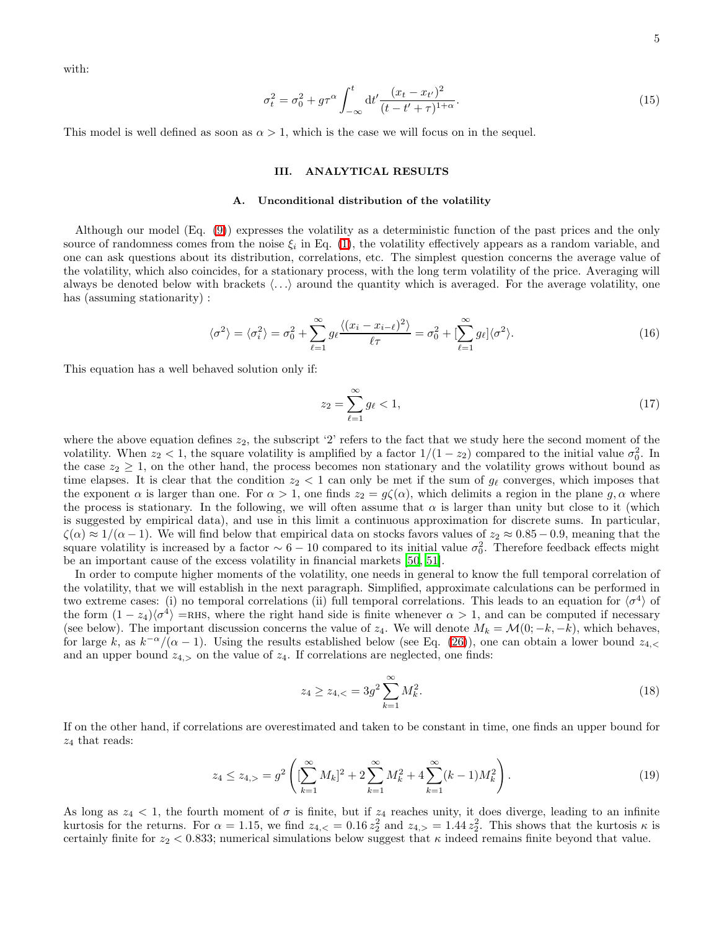with:

$$
\sigma_t^2 = \sigma_0^2 + g\tau^\alpha \int_{-\infty}^t dt' \frac{(x_t - x_{t'})^2}{(t - t' + \tau)^{1+\alpha}}.
$$
\n(15)

This model is well defined as soon as  $\alpha > 1$ , which is the case we will focus on in the sequel.

## III. ANALYTICAL RESULTS

### <span id="page-4-0"></span>A. Unconditional distribution of the volatility

Although our model (Eq. [\(9\)](#page-3-0)) expresses the volatility as a deterministic function of the past prices and the only source of randomness comes from the noise  $\xi_i$  in Eq. [\(1\)](#page-1-1), the volatility effectively appears as a random variable, and one can ask questions about its distribution, correlations, etc. The simplest question concerns the average value of the volatility, which also coincides, for a stationary process, with the long term volatility of the price. Averaging will always be denoted below with brackets  $\langle \ldots \rangle$  around the quantity which is averaged. For the average volatility, one has (assuming stationarity):

$$
\langle \sigma^2 \rangle = \langle \sigma_i^2 \rangle = \sigma_0^2 + \sum_{\ell=1}^{\infty} g_\ell \frac{\langle (x_i - x_{i-\ell})^2 \rangle}{\ell \tau} = \sigma_0^2 + \left[ \sum_{\ell=1}^{\infty} g_\ell \right] \langle \sigma^2 \rangle. \tag{16}
$$

This equation has a well behaved solution only if:

$$
z_2 = \sum_{\ell=1}^{\infty} g_{\ell} < 1,\tag{17}
$$

where the above equation defines  $z_2$ , the subscript '2' refers to the fact that we study here the second moment of the volatility. When  $z_2 < 1$ , the square volatility is amplified by a factor  $1/(1-z_2)$  compared to the initial value  $\sigma_0^2$ . In the case  $z_2 \geq 1$ , on the other hand, the process becomes non stationary and the volatility grows without bound as time elapses. It is clear that the condition  $z_2 < 1$  can only be met if the sum of  $g_\ell$  converges, which imposes that the exponent  $\alpha$  is larger than one. For  $\alpha > 1$ , one finds  $z_2 = g\zeta(\alpha)$ , which delimits a region in the plane g,  $\alpha$  where the process is stationary. In the following, we will often assume that  $\alpha$  is larger than unity but close to it (which is suggested by empirical data), and use in this limit a continuous approximation for discrete sums. In particular,  $\zeta(\alpha) \approx 1/(\alpha - 1)$ . We will find below that empirical data on stocks favors values of  $z_2 \approx 0.85 - 0.9$ , meaning that the square volatility is increased by a factor  $\sim 6 - 10$  compared to its initial value  $\sigma_0^2$ . Therefore feedback effects might be an important cause of the excess volatility in financial markets [\[50](#page-21-20), [51](#page-21-21)].

In order to compute higher moments of the volatility, one needs in general to know the full temporal correlation of the volatility, that we will establish in the next paragraph. Simplified, approximate calculations can be performed in two extreme cases: (i) no temporal correlations (ii) full temporal correlations. This leads to an equation for  $\langle \sigma^4 \rangle$  of the form  $(1 - z_4)/\sigma^4$  =RHS, where the right hand side is finite whenever  $\alpha > 1$ , and can be computed if necessary (see below). The important discussion concerns the value of  $z_4$ . We will denote  $M_k = \mathcal{M}(0; -k, -k)$ , which behaves, for large k, as  $k^{-\alpha}/(\alpha-1)$ . Using the results established below (see Eq. [\(26\)](#page-5-0)), one can obtain a lower bound  $z_{4,<}$ and an upper bound  $z_{4,>}$  on the value of  $z_4$ . If correlations are neglected, one finds:

$$
z_4 \ge z_{4,<} = 3g^2 \sum_{k=1}^{\infty} M_k^2. \tag{18}
$$

If on the other hand, if correlations are overestimated and taken to be constant in time, one finds an upper bound for  $z_4$  that reads:

$$
z_4 \le z_{4,>} = g^2 \left( \left[ \sum_{k=1}^{\infty} M_k \right]^2 + 2 \sum_{k=1}^{\infty} M_k^2 + 4 \sum_{k=1}^{\infty} (k-1) M_k^2 \right). \tag{19}
$$

As long as  $z_4 < 1$ , the fourth moment of  $\sigma$  is finite, but if  $z_4$  reaches unity, it does diverge, leading to an infinite kurtosis for the returns. For  $\alpha = 1.15$ , we find  $z_{4,<} = 0.16 z_2^2$  and  $z_{4,>} = 1.44 z_2^2$ . This shows that the kurtosis  $\kappa$  is certainly finite for  $z_2 < 0.833$ ; numerical simulations below suggest that  $\kappa$  indeed remains finite beyond that value.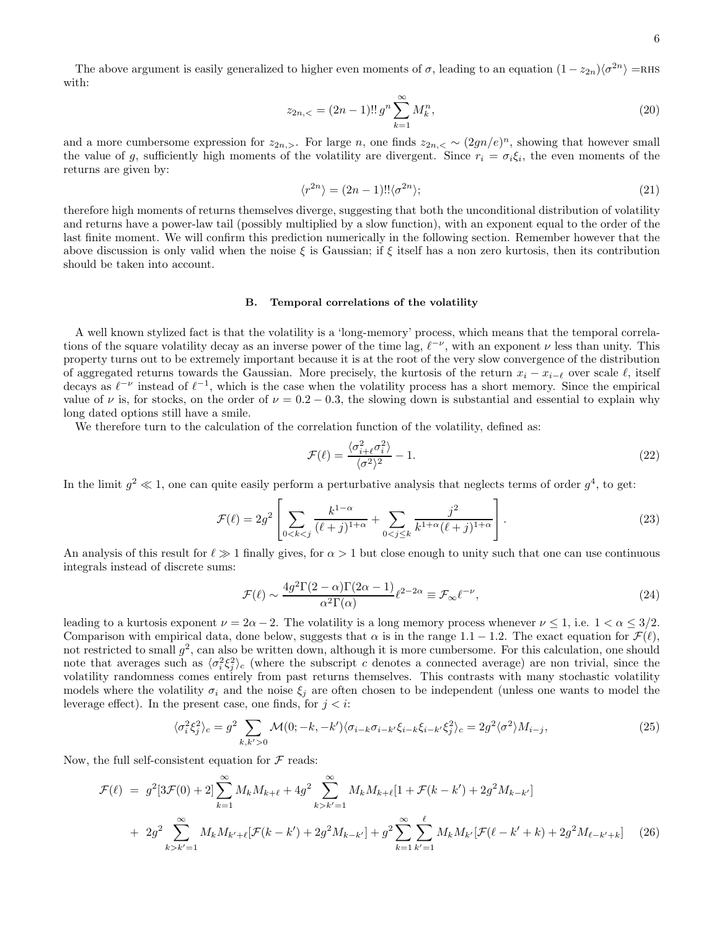The above argument is easily generalized to higher even moments of  $\sigma$ , leading to an equation  $(1 - z_{2n})\langle \sigma^{2n} \rangle$  =RHS with:

$$
z_{2n,<} = (2n-1)!! \, g^n \sum_{k=1}^{\infty} M_k^n,\tag{20}
$$

and a more cumbersome expression for  $z_{2n,>}$ . For large n, one finds  $z_{2n,<} \sim (2gn/e)^n$ , showing that however small the value of g, sufficiently high moments of the volatility are divergent. Since  $r_i = \sigma_i \xi_i$ , the even moments of the returns are given by:

$$
\langle r^{2n} \rangle = (2n - 1)!! \langle \sigma^{2n} \rangle; \tag{21}
$$

therefore high moments of returns themselves diverge, suggesting that both the unconditional distribution of volatility and returns have a power-law tail (possibly multiplied by a slow function), with an exponent equal to the order of the last finite moment. We will confirm this prediction numerically in the following section. Remember however that the above discussion is only valid when the noise  $\xi$  is Gaussian; if  $\xi$  itself has a non zero kurtosis, then its contribution should be taken into account.

### B. Temporal correlations of the volatility

A well known stylized fact is that the volatility is a 'long-memory' process, which means that the temporal correlations of the square volatility decay as an inverse power of the time lag,  $\ell^{-\nu}$ , with an exponent  $\nu$  less than unity. This property turns out to be extremely important because it is at the root of the very slow convergence of the distribution of aggregated returns towards the Gaussian. More precisely, the kurtosis of the return  $x_i - x_{i-\ell}$  over scale  $\ell$ , itself decays as  $\ell^{-\nu}$  instead of  $\ell^{-1}$ , which is the case when the volatility process has a short memory. Since the empirical value of  $\nu$  is, for stocks, on the order of  $\nu = 0.2 - 0.3$ , the slowing down is substantial and essential to explain why long dated options still have a smile.

We therefore turn to the calculation of the correlation function of the volatility, defined as:

$$
\mathcal{F}(\ell) = \frac{\langle \sigma_{i+\ell}^2 \sigma_i^2 \rangle}{\langle \sigma^2 \rangle^2} - 1.
$$
\n(22)

In the limit  $g^2 \ll 1$ , one can quite easily perform a perturbative analysis that neglects terms of order  $g^4$ , to get:

$$
\mathcal{F}(\ell) = 2g^2 \left[ \sum_{0 < k < j} \frac{k^{1-\alpha}}{(\ell+j)^{1+\alpha}} + \sum_{0 < j \le k} \frac{j^2}{k^{1+\alpha}(\ell+j)^{1+\alpha}} \right]. \tag{23}
$$

An analysis of this result for  $\ell \gg 1$  finally gives, for  $\alpha > 1$  but close enough to unity such that one can use continuous integrals instead of discrete sums:

<span id="page-5-1"></span>
$$
\mathcal{F}(\ell) \sim \frac{4g^2 \Gamma(2-\alpha)\Gamma(2\alpha-1)}{\alpha^2 \Gamma(\alpha)} \ell^{2-2\alpha} \equiv \mathcal{F}_{\infty} \ell^{-\nu},\tag{24}
$$

leading to a kurtosis exponent  $\nu = 2\alpha - 2$ . The volatility is a long memory process whenever  $\nu \le 1$ , i.e.  $1 < \alpha \le 3/2$ . Comparison with empirical data, done below, suggests that  $\alpha$  is in the range 1.1 – 1.2. The exact equation for  $\mathcal{F}(\ell)$ , not restricted to small  $g^2$ , can also be written down, although it is more cumbersome. For this calculation, one should note that averages such as  $\langle \sigma_i^2 \xi_j^2 \rangle_c$  (where the subscript c denotes a connected average) are non trivial, since the volatility randomness comes entirely from past returns themselves. This contrasts with many stochastic volatility models where the volatility  $\sigma_i$  and the noise  $\xi_j$  are often chosen to be independent (unless one wants to model the leverage effect). In the present case, one finds, for  $j < i$ :

$$
\langle \sigma_i^2 \xi_j^2 \rangle_c = g^2 \sum_{k,k' > 0} \mathcal{M}(0; -k, -k') \langle \sigma_{i-k} \sigma_{i-k'} \xi_{i-k} \xi_{i-k'} \xi_j^2 \rangle_c = 2g^2 \langle \sigma^2 \rangle M_{i-j}, \tag{25}
$$

<span id="page-5-0"></span>Now, the full self-consistent equation for  $\mathcal F$  reads:

$$
\mathcal{F}(\ell) = g^2[3\mathcal{F}(0) + 2] \sum_{k=1}^{\infty} M_k M_{k+\ell} + 4g^2 \sum_{k > k'=1}^{\infty} M_k M_{k+\ell} [1 + \mathcal{F}(k - k') + 2g^2 M_{k-k'}]
$$
  
+ 
$$
2g^2 \sum_{k > k'=1}^{\infty} M_k M_{k'+\ell} [\mathcal{F}(k - k') + 2g^2 M_{k-k'}] + g^2 \sum_{k=1}^{\infty} \sum_{k'=1}^{\ell} M_k M_{k'} [\mathcal{F}(\ell - k' + k) + 2g^2 M_{\ell-k'+k}] \tag{26}
$$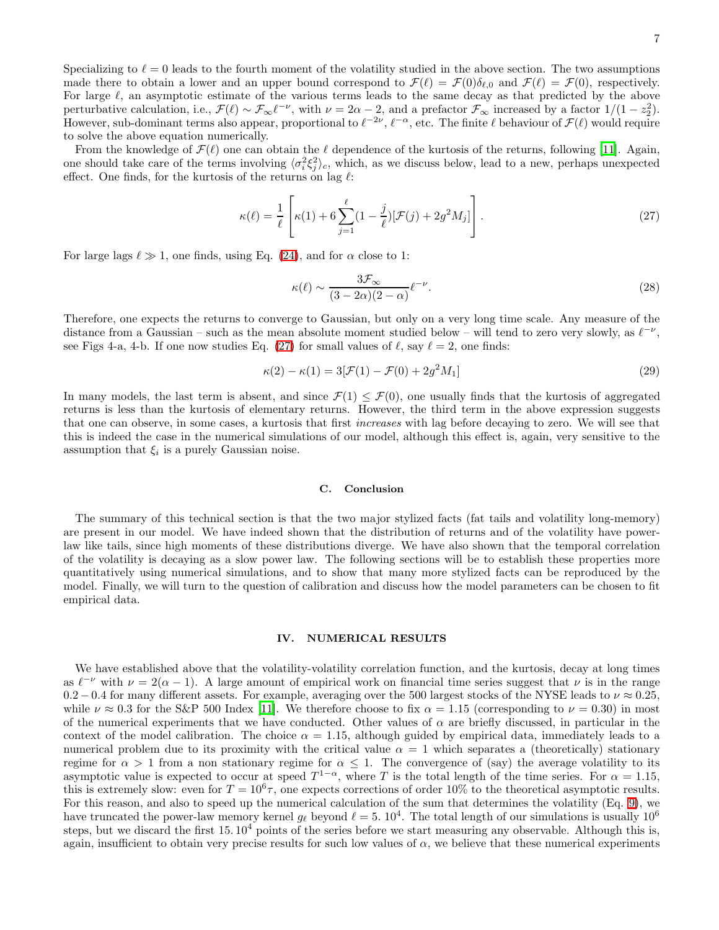From the knowledge of  $\mathcal{F}(\ell)$  one can obtain the  $\ell$  dependence of the kurtosis of the returns, following [\[11\]](#page-20-10). Again, one should take care of the terms involving  $\langle \sigma_i^2 \xi_j^2 \rangle_c$ , which, as we discuss below, lead to a new, perhaps unexpected effect. One finds, for the kurtosis of the returns on lag  $\ell$ :

<span id="page-6-0"></span>
$$
\kappa(\ell) = \frac{1}{\ell} \left[ \kappa(1) + 6 \sum_{j=1}^{\ell} (1 - \frac{j}{\ell}) [\mathcal{F}(j) + 2g^2 M_j] \right].
$$
 (27)

For large lags  $\ell \gg 1$ , one finds, using Eq. [\(24\)](#page-5-1), and for  $\alpha$  close to 1:

$$
\kappa(\ell) \sim \frac{3\mathcal{F}_{\infty}}{(3-2\alpha)(2-\alpha)} \ell^{-\nu}.
$$
\n(28)

Therefore, one expects the returns to converge to Gaussian, but only on a very long time scale. Any measure of the distance from a Gaussian – such as the mean absolute moment studied below – will tend to zero very slowly, as  $\ell^{-\nu}$ , see Figs 4-a, 4-b. If one now studies Eq. [\(27\)](#page-6-0) for small values of  $\ell$ , say  $\ell = 2$ , one finds:

$$
\kappa(2) - \kappa(1) = 3[\mathcal{F}(1) - \mathcal{F}(0) + 2g^2 M_1]
$$
\n(29)

In many models, the last term is absent, and since  $\mathcal{F}(1) \leq \mathcal{F}(0)$ , one usually finds that the kurtosis of aggregated returns is less than the kurtosis of elementary returns. However, the third term in the above expression suggests that one can observe, in some cases, a kurtosis that first increases with lag before decaying to zero. We will see that this is indeed the case in the numerical simulations of our model, although this effect is, again, very sensitive to the assumption that  $\xi_i$  is a purely Gaussian noise.

### C. Conclusion

The summary of this technical section is that the two major stylized facts (fat tails and volatility long-memory) are present in our model. We have indeed shown that the distribution of returns and of the volatility have powerlaw like tails, since high moments of these distributions diverge. We have also shown that the temporal correlation of the volatility is decaying as a slow power law. The following sections will be to establish these properties more quantitatively using numerical simulations, and to show that many more stylized facts can be reproduced by the model. Finally, we will turn to the question of calibration and discuss how the model parameters can be chosen to fit empirical data.

### <span id="page-6-1"></span>IV. NUMERICAL RESULTS

We have established above that the volatility-volatility correlation function, and the kurtosis, decay at long times as  $\ell^{-\nu}$  with  $\nu = 2(\alpha - 1)$ . A large amount of empirical work on financial time series suggest that  $\nu$  is in the range  $0.2 - 0.4$  for many different assets. For example, averaging over the 500 largest stocks of the NYSE leads to  $\nu \approx 0.25$ , while  $\nu \approx 0.3$  for the S&P 500 Index [\[11](#page-20-10)]. We therefore choose to fix  $\alpha = 1.15$  (corresponding to  $\nu = 0.30$ ) in most of the numerical experiments that we have conducted. Other values of  $\alpha$  are briefly discussed, in particular in the context of the model calibration. The choice  $\alpha = 1.15$ , although guided by empirical data, immediately leads to a numerical problem due to its proximity with the critical value  $\alpha = 1$  which separates a (theoretically) stationary regime for  $\alpha > 1$  from a non stationary regime for  $\alpha \leq 1$ . The convergence of (say) the average volatility to its asymptotic value is expected to occur at speed  $T^{1-\alpha}$ , where T is the total length of the time series. For  $\alpha = 1.15$ , this is extremely slow: even for  $T = 10^6 \tau$ , one expects corrections of order 10% to the theoretical asymptotic results. For this reason, and also to speed up the numerical calculation of the sum that determines the volatility (Eq. [9\)](#page-3-0), we have truncated the power-law memory kernel  $g_{\ell}$  beyond  $\ell = 5$ .  $10^4$ . The total length of our simulations is usually  $10^6$ steps, but we discard the first  $15. 10<sup>4</sup>$  points of the series before we start measuring any observable. Although this is, again, insufficient to obtain very precise results for such low values of  $\alpha$ , we believe that these numerical experiments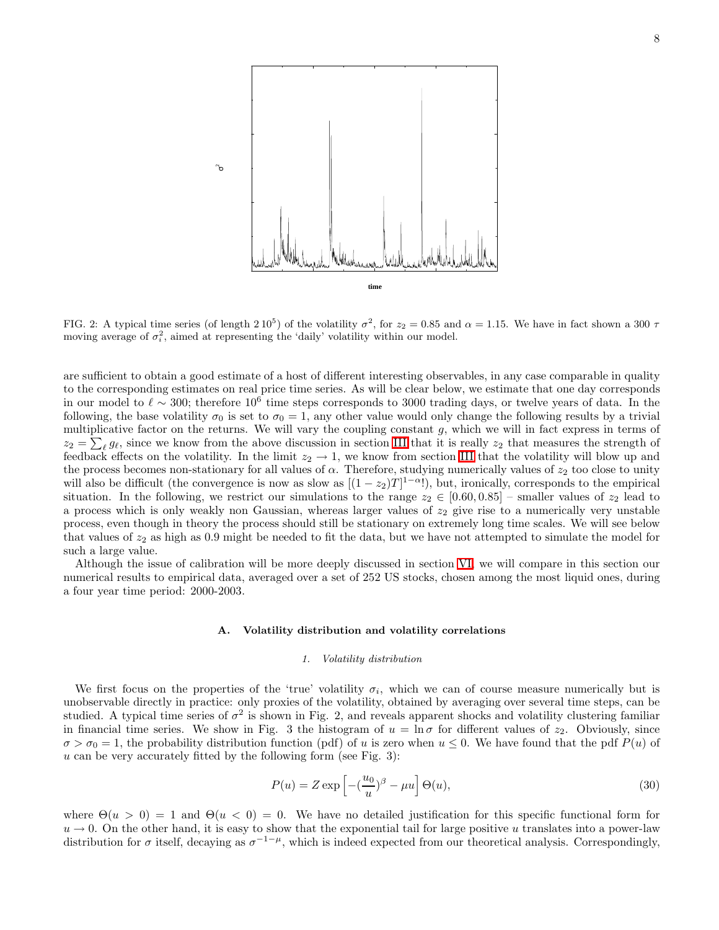

FIG. 2: A typical time series (of length 2  $10^5$ ) of the volatility  $\sigma^2$ , for  $z_2 = 0.85$  and  $\alpha = 1.15$ . We have in fact shown a 300  $\tau$ moving average of  $\sigma_i^2$ , aimed at representing the 'daily' volatility within our model.

are sufficient to obtain a good estimate of a host of different interesting observables, in any case comparable in quality to the corresponding estimates on real price time series. As will be clear below, we estimate that one day corresponds in our model to  $\ell \sim 300$ ; therefore  $10^6$  time steps corresponds to 3000 trading days, or twelve years of data. In the following, the base volatility  $\sigma_0$  is set to  $\sigma_0 = 1$ , any other value would only change the following results by a trivial multiplicative factor on the returns. We will vary the coupling constant g, which we will in fact express in terms of  $z_2 = \sum_{\ell} g_{\ell}$ , since we know from the above discussion in section [III](#page-4-0) that it is really  $z_2$  that measures the strength of feedback effects on the volatility. In the limit  $z_2 \to 1$ , we know from section [III](#page-4-0) that the volatility will blow up and the process becomes non-stationary for all values of  $\alpha$ . Therefore, studying numerically values of  $z_2$  too close to unity will also be difficult (the convergence is now as slow as  $[(1-z_2)T]^{1-\alpha}$ ), but, ironically, corresponds to the empirical situation. In the following, we restrict our simulations to the range  $z_2 \in [0.60, 0.85]$  – smaller values of  $z_2$  lead to a process which is only weakly non Gaussian, whereas larger values of  $z<sub>2</sub>$  give rise to a numerically very unstable process, even though in theory the process should still be stationary on extremely long time scales. We will see below that values of  $z_2$  as high as 0.9 might be needed to fit the data, but we have not attempted to simulate the model for such a large value.

Although the issue of calibration will be more deeply discussed in section [VI,](#page-16-0) we will compare in this section our numerical results to empirical data, averaged over a set of 252 US stocks, chosen among the most liquid ones, during a four year time period: 2000-2003.

### A. Volatility distribution and volatility correlations

## 1. Volatility distribution

We first focus on the properties of the 'true' volatility  $\sigma_i$ , which we can of course measure numerically but is unobservable directly in practice: only proxies of the volatility, obtained by averaging over several time steps, can be studied. A typical time series of  $\sigma^2$  is shown in Fig. 2, and reveals apparent shocks and volatility clustering familiar in financial time series. We show in Fig. 3 the histogram of  $u = \ln \sigma$  for different values of  $z_2$ . Obviously, since  $\sigma > \sigma_0 = 1$ , the probability distribution function (pdf) of u is zero when  $u \leq 0$ . We have found that the pdf  $P(u)$  of  $u$  can be very accurately fitted by the following form (see Fig. 3):

<span id="page-7-0"></span>
$$
P(u) = Z \exp\left[-\left(\frac{u_0}{u}\right)^{\beta} - \mu u\right] \Theta(u),\tag{30}
$$

where  $\Theta(u > 0) = 1$  and  $\Theta(u < 0) = 0$ . We have no detailed justification for this specific functional form for  $u \to 0$ . On the other hand, it is easy to show that the exponential tail for large positive u translates into a power-law distribution for  $\sigma$  itself, decaying as  $\sigma^{-1-\mu}$ , which is indeed expected from our theoretical analysis. Correspondingly,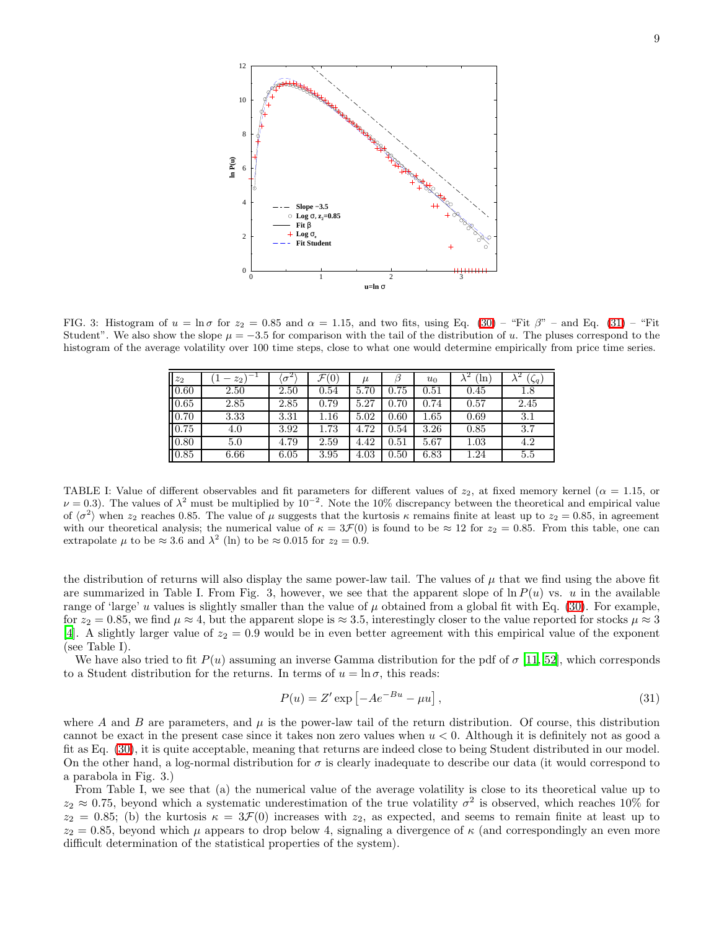

FIG. 3: Histogram of  $u = \ln \sigma$  for  $z_2 = 0.85$  and  $\alpha = 1.15$ , and two fits, using Eq. [\(30\)](#page-7-0) – "Fit  $\beta$ " – and Eq. [\(31\)](#page-8-0) – "Fit Student". We also show the slope  $\mu = -3.5$  for comparison with the tail of the distribution of u. The pluses correspond to the histogram of the average volatility over 100 time steps, close to what one would determine empirically from price time series.

| $\mathfrak{z}_2$ | $-1$<br>$z_2$<br>— | $\sigma^2$ | ${\cal F}$ (<br>$\left(0\right)$ | $\mu$ |      | $u_0$ | ʻln  | (5q) |
|------------------|--------------------|------------|----------------------------------|-------|------|-------|------|------|
| 0.60             | 2.50               | 2.50       | 0.54                             | 5.70  | 0.75 | 0.51  | 0.45 | 1.8  |
| 0.65             | 2.85               | 2.85       | 0.79                             | 5.27  | 0.70 | 0.74  | 0.57 | 2.45 |
| 0.70             | 3.33               | 3.31       | 1.16                             | 5.02  | 0.60 | 1.65  | 0.69 | 3.1  |
| 0.75             | 4.0                | 3.92       | 1.73                             | 4.72  | 0.54 | 3.26  | 0.85 | 3.7  |
| $ 0.80\rangle$   | 5.0                | 4.79       | 2.59                             | 4.42  | 0.51 | 5.67  | 1.03 | 4.2  |
| 0.85             | 6.66               | 6.05       | 3.95                             | 4.03  | 0.50 | 6.83  | 1.24 | 5.5  |

TABLE I: Value of different observables and fit parameters for different values of  $z_2$ , at fixed memory kernel ( $\alpha = 1.15$ , or  $\nu = 0.3$ ). The values of  $\lambda^2$  must be multiplied by  $10^{-2}$ . Note the 10% discrepancy between the theoretical and empirical value of  $\langle \sigma^2 \rangle$  when  $z_2$  reaches 0.85. The value of  $\mu$  suggests that the kurtosis  $\kappa$  remains finite at least up to  $z_2 = 0.85$ , in agreement with our theoretical analysis; the numerical value of  $\kappa = 3\mathcal{F}(0)$  is found to be  $\approx 12$  for  $z_2 = 0.85$ . From this table, one can extrapolate  $\mu$  to be  $\approx 3.6$  and  $\lambda^2$  (ln) to be  $\approx 0.015$  for  $z_2 = 0.9$ .

the distribution of returns will also display the same power-law tail. The values of  $\mu$  that we find using the above fit are summarized in Table I. From Fig. 3, however, we see that the apparent slope of  $\ln P(u)$  vs. u in the available range of 'large' u values is slightly smaller than the value of  $\mu$  obtained from a global fit with Eq. [\(30\)](#page-7-0). For example, for  $z_2 = 0.85$ , we find  $\mu \approx 4$ , but the apparent slope is  $\approx 3.5$ , interestingly closer to the value reported for stocks  $\mu \approx 3$ [\[4\]](#page-20-3). A slightly larger value of  $z_2 = 0.9$  would be in even better agreement with this empirical value of the exponent (see Table I).

We have also tried to fit  $P(u)$  assuming an inverse Gamma distribution for the pdf of  $\sigma$  [\[11](#page-20-10), [52\]](#page-21-22), which corresponds to a Student distribution for the returns. In terms of  $u = \ln \sigma$ , this reads:

<span id="page-8-0"></span>
$$
P(u) = Z' \exp\left[-Ae^{-Bu} - \mu u\right],\tag{31}
$$

where A and B are parameters, and  $\mu$  is the power-law tail of the return distribution. Of course, this distribution cannot be exact in the present case since it takes non zero values when  $u < 0$ . Although it is definitely not as good a fit as Eq. [\(30\)](#page-7-0), it is quite acceptable, meaning that returns are indeed close to being Student distributed in our model. On the other hand, a log-normal distribution for  $\sigma$  is clearly inadequate to describe our data (it would correspond to a parabola in Fig. 3.)

From Table I, we see that (a) the numerical value of the average volatility is close to its theoretical value up to  $z_2 \approx 0.75$ , beyond which a systematic underestimation of the true volatility  $\sigma^2$  is observed, which reaches 10% for  $z_2 = 0.85$ ; (b) the kurtosis  $\kappa = 3\mathcal{F}(0)$  increases with  $z_2$ , as expected, and seems to remain finite at least up to  $z_2 = 0.85$ , beyond which  $\mu$  appears to drop below 4, signaling a divergence of  $\kappa$  (and correspondingly an even more difficult determination of the statistical properties of the system).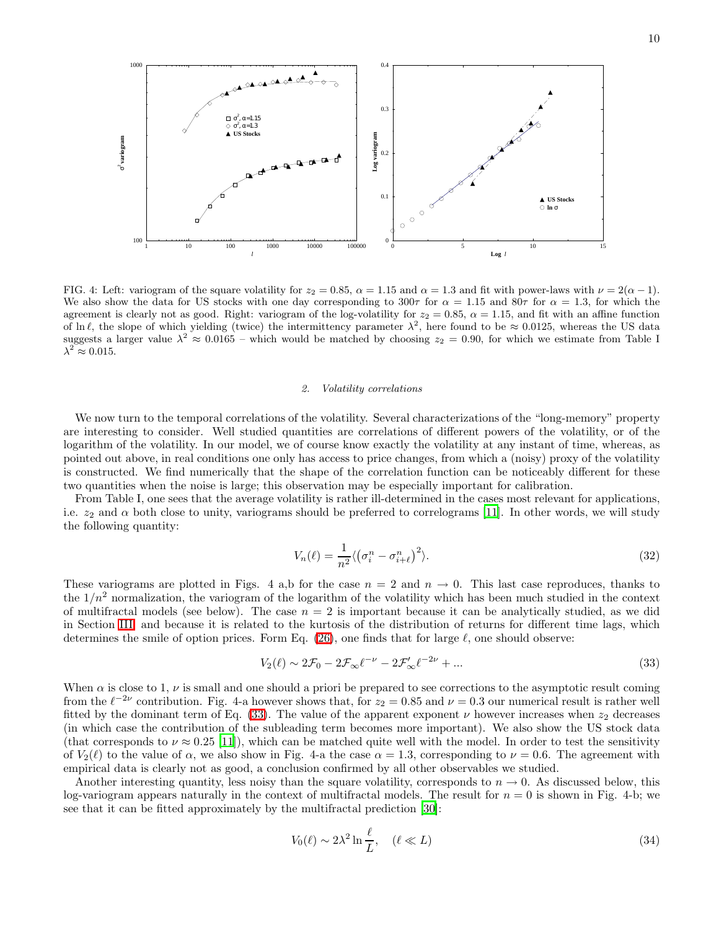



FIG. 4: Left: variogram of the square volatility for  $z_2 = 0.85$ ,  $\alpha = 1.15$  and  $\alpha = 1.3$  and fit with power-laws with  $\nu = 2(\alpha - 1)$ . We also show the data for US stocks with one day corresponding to 300 $\tau$  for  $\alpha = 1.15$  and 80 $\tau$  for  $\alpha = 1.3$ , for which the agreement is clearly not as good. Right: variogram of the log-volatility for  $z_2 = 0.85$ ,  $\alpha = 1.15$ , and fit with an affine function of ln  $\ell$ , the slope of which yielding (twice) the intermittency parameter  $\lambda^2$ , here found to be  $\approx 0.0125$ , whereas the US data suggests a larger value  $\lambda^2 \approx 0.0165$  – which would be matched by choosing  $z_2 = 0.90$ , for which we estimate from Table I  $\lambda^2 \approx 0.015$ .

#### 2. Volatility correlations

We now turn to the temporal correlations of the volatility. Several characterizations of the "long-memory" property are interesting to consider. Well studied quantities are correlations of different powers of the volatility, or of the logarithm of the volatility. In our model, we of course know exactly the volatility at any instant of time, whereas, as pointed out above, in real conditions one only has access to price changes, from which a (noisy) proxy of the volatility is constructed. We find numerically that the shape of the correlation function can be noticeably different for these two quantities when the noise is large; this observation may be especially important for calibration.

From Table I, one sees that the average volatility is rather ill-determined in the cases most relevant for applications, i.e.  $z_2$  and  $\alpha$  both close to unity, variograms should be preferred to correlograms [\[11\]](#page-20-10). In other words, we will study the following quantity:

$$
V_n(\ell) = \frac{1}{n^2} \langle \left(\sigma_i^n - \sigma_{i+\ell}^n\right)^2 \rangle. \tag{32}
$$

These variograms are plotted in Figs. 4 a,b for the case  $n = 2$  and  $n \to 0$ . This last case reproduces, thanks to the  $1/n^2$  normalization, the variogram of the logarithm of the volatility which has been much studied in the context of multifractal models (see below). The case  $n = 2$  is important because it can be analytically studied, as we did in Section [III,](#page-4-0) and because it is related to the kurtosis of the distribution of returns for different time lags, which determines the smile of option prices. Form Eq. [\(26\)](#page-5-0), one finds that for large  $\ell$ , one should observe:

<span id="page-9-0"></span>
$$
V_2(\ell) \sim 2\mathcal{F}_0 - 2\mathcal{F}_{\infty}\ell^{-\nu} - 2\mathcal{F}'_{\infty}\ell^{-2\nu} + \dots \tag{33}
$$

When  $\alpha$  is close to 1,  $\nu$  is small and one should a priori be prepared to see corrections to the asymptotic result coming from the  $\ell^{-2\nu}$  contribution. Fig. 4-a however shows that, for  $z_2 = 0.85$  and  $\nu = 0.3$  our numerical result is rather well fitted by the dominant term of Eq. [\(33\)](#page-9-0). The value of the apparent exponent  $\nu$  however increases when  $z_2$  decreases (in which case the contribution of the subleading term becomes more important). We also show the US stock data (that corresponds to  $\nu \approx 0.25$  [\[11\]](#page-20-10)), which can be matched quite well with the model. In order to test the sensitivity of  $V_2(\ell)$  to the value of  $\alpha$ , we also show in Fig. 4-a the case  $\alpha = 1.3$ , corresponding to  $\nu = 0.6$ . The agreement with empirical data is clearly not as good, a conclusion confirmed by all other observables we studied.

Another interesting quantity, less noisy than the square volatility, corresponds to  $n \to 0$ . As discussed below, this log-variogram appears naturally in the context of multifractal models. The result for  $n = 0$  is shown in Fig. 4-b; we see that it can be fitted approximately by the multifractal prediction [\[30\]](#page-20-29):

<span id="page-9-1"></span>
$$
V_0(\ell) \sim 2\lambda^2 \ln \frac{\ell}{L}, \quad (\ell \ll L)
$$
\n(34)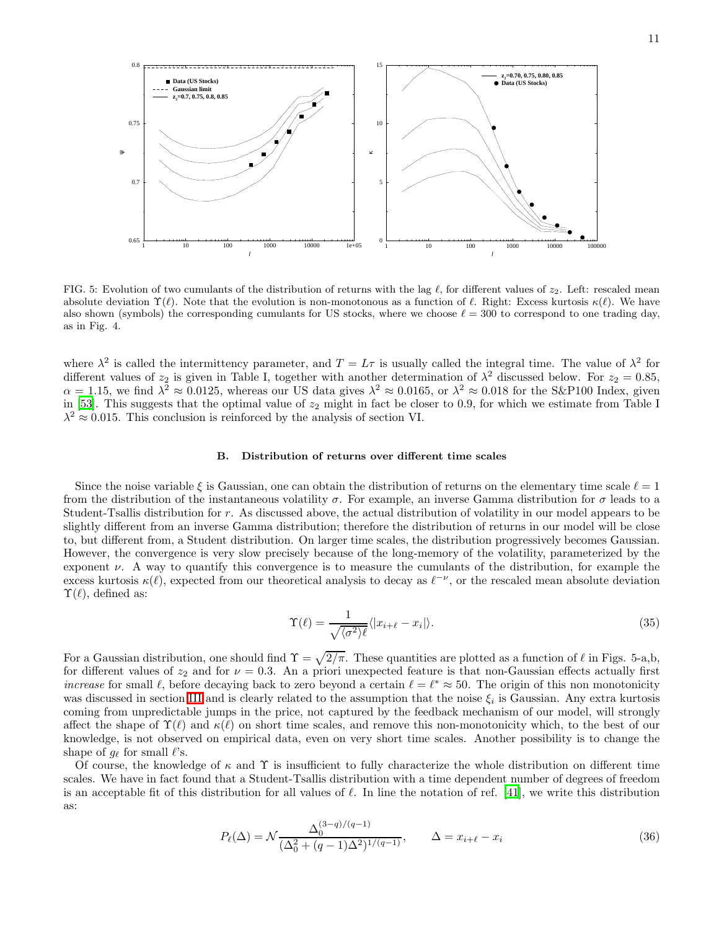

FIG. 5: Evolution of two cumulants of the distribution of returns with the lag  $\ell$ , for different values of  $z_2$ . Left: rescaled mean absolute deviation  $\Upsilon(\ell)$ . Note that the evolution is non-monotonous as a function of  $\ell$ . Right: Excess kurtosis  $\kappa(\ell)$ . We have also shown (symbols) the corresponding cumulants for US stocks, where we choose  $\ell = 300$  to correspond to one trading day, as in Fig. 4.

where  $\lambda^2$  is called the intermittency parameter, and  $T = L\tau$  is usually called the integral time. The value of  $\lambda^2$  for different values of  $z_2$  is given in Table I, together with another determination of  $\lambda^2$  discussed below. For  $z_2 = 0.85$ ,  $\alpha = 1.15$ , we find  $\lambda^2 \approx 0.0125$ , whereas our US data gives  $\lambda^2 \approx 0.0165$ , or  $\lambda^2 \approx 0.018$  for the S&P100 Index, given in [\[53\]](#page-21-23). This suggests that the optimal value of  $z_2$  might in fact be closer to 0.9, for which we estimate from Table I  $\lambda^2 \approx 0.015$ . This conclusion is reinforced by the analysis of section VI.

### B. Distribution of returns over different time scales

Since the noise variable  $\xi$  is Gaussian, one can obtain the distribution of returns on the elementary time scale  $\ell = 1$ from the distribution of the instantaneous volatility  $\sigma$ . For example, an inverse Gamma distribution for  $\sigma$  leads to a Student-Tsallis distribution for r. As discussed above, the actual distribution of volatility in our model appears to be slightly different from an inverse Gamma distribution; therefore the distribution of returns in our model will be close to, but different from, a Student distribution. On larger time scales, the distribution progressively becomes Gaussian. However, the convergence is very slow precisely because of the long-memory of the volatility, parameterized by the exponent  $\nu$ . A way to quantify this convergence is to measure the cumulants of the distribution, for example the excess kurtosis  $\kappa(\ell)$ , expected from our theoretical analysis to decay as  $\ell^{-\nu}$ , or the rescaled mean absolute deviation  $\Upsilon(\ell)$ , defined as:

$$
\Upsilon(\ell) = \frac{1}{\sqrt{\langle \sigma^2 \rangle \ell}} \langle |x_{i+\ell} - x_i| \rangle. \tag{35}
$$

For a Gaussian distribution, one should find  $\Upsilon = \sqrt{2/\pi}$ . These quantities are plotted as a function of  $\ell$  in Figs. 5-a,b, for different values of  $z_2$  and for  $\nu = 0.3$ . An a priori unexpected feature is that non-Gaussian effects actually first increase for small  $\ell$ , before decaying back to zero beyond a certain  $\ell = \ell^* \approx 50$ . The origin of this non monotonicity was discussed in section [III](#page-4-0) and is clearly related to the assumption that the noise  $\xi_i$  is Gaussian. Any extra kurtosis coming from unpredictable jumps in the price, not captured by the feedback mechanism of our model, will strongly affect the shape of  $\Upsilon(\ell)$  and  $\kappa(\ell)$  on short time scales, and remove this non-monotonicity which, to the best of our knowledge, is not observed on empirical data, even on very short time scales. Another possibility is to change the shape of  $q_\ell$  for small  $\ell$ 's.

Of course, the knowledge of  $\kappa$  and  $\Upsilon$  is insufficient to fully characterize the whole distribution on different time scales. We have in fact found that a Student-Tsallis distribution with a time dependent number of degrees of freedom is an acceptable fit of this distribution for all values of  $\ell$ . In line the notation of ref. [\[41\]](#page-21-8), we write this distribution as:

<span id="page-10-0"></span>
$$
P_{\ell}(\Delta) = \mathcal{N} \frac{\Delta_0^{(3-q)/(q-1)}}{(\Delta_0^2 + (q-1)\Delta^2)^{1/(q-1)}}, \qquad \Delta = x_{i+\ell} - x_i
$$
\n(36)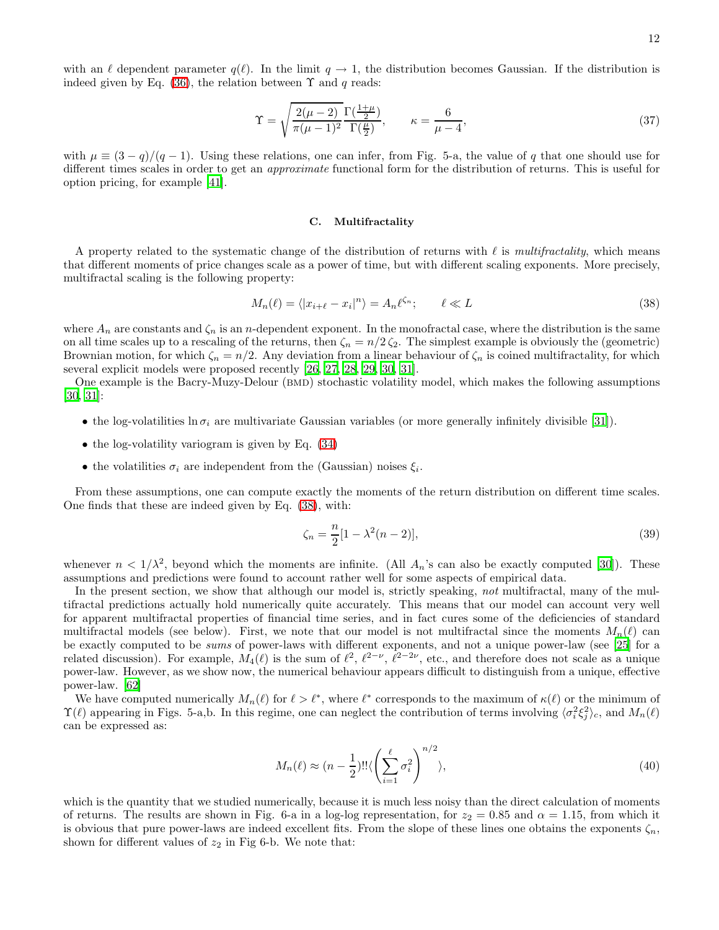$$
\Upsilon = \sqrt{\frac{2(\mu - 2)}{\pi(\mu - 1)^2} \frac{\Gamma(\frac{1 + \mu}{2})}{\Gamma(\frac{\mu}{2})}}, \qquad \kappa = \frac{6}{\mu - 4},\tag{37}
$$

with  $\mu \equiv (3 - q)/(q - 1)$ . Using these relations, one can infer, from Fig. 5-a, the value of q that one should use for different times scales in order to get an approximate functional form for the distribution of returns. This is useful for option pricing, for example [\[41](#page-21-8)].

#### C. Multifractality

A property related to the systematic change of the distribution of returns with  $\ell$  is multifractality, which means that different moments of price changes scale as a power of time, but with different scaling exponents. More precisely, multifractal scaling is the following property:

<span id="page-11-0"></span>
$$
M_n(\ell) = \langle |x_{i+\ell} - x_i|^n \rangle = A_n \ell^{\zeta_n}; \qquad \ell \ll L
$$
\n(38)

where  $A_n$  are constants and  $\zeta_n$  is an *n*-dependent exponent. In the monofractal case, where the distribution is the same on all time scales up to a rescaling of the returns, then  $\zeta_n = n/2 \zeta_2$ . The simplest example is obviously the (geometric) Brownian motion, for which  $\zeta_n = n/2$ . Any deviation from a linear behaviour of  $\zeta_n$  is coined multifractality, for which several explicit models were proposed recently [\[26](#page-20-25), [27](#page-20-26), [28](#page-20-27), [29,](#page-20-28) [30,](#page-20-29) [31\]](#page-20-30).

One example is the Bacry-Muzy-Delour (BMD) stochastic volatility model, which makes the following assumptions [\[30,](#page-20-29) [31\]](#page-20-30):

- the log-volatilities  $\ln \sigma_i$  are multivariate Gaussian variables (or more generally infinitely divisible [\[31](#page-20-30)]).
- $\bullet$  the log-volatility variogram is given by Eq.  $(34)$
- the volatilities  $\sigma_i$  are independent from the (Gaussian) noises  $\xi_i$ .

From these assumptions, one can compute exactly the moments of the return distribution on different time scales. One finds that these are indeed given by Eq. [\(38\)](#page-11-0), with:

<span id="page-11-1"></span>
$$
\zeta_n = \frac{n}{2} [1 - \lambda^2 (n - 2)],\tag{39}
$$

whenever  $n < 1/\lambda^2$ , beyond which the moments are infinite. (All  $A_n$ 's can also be exactly computed [\[30\]](#page-20-29)). These assumptions and predictions were found to account rather well for some aspects of empirical data.

In the present section, we show that although our model is, strictly speaking, not multifractal, many of the multifractal predictions actually hold numerically quite accurately. This means that our model can account very well for apparent multifractal properties of financial time series, and in fact cures some of the deficiencies of standard multifractal models (see below). First, we note that our model is not multifractal since the moments  $M_n(\ell)$  can be exactly computed to be sums of power-laws with different exponents, and not a unique power-law (see [\[25](#page-20-24)] for a related discussion). For example,  $M_4(\ell)$  is the sum of  $\ell^2$ ,  $\ell^{2-\nu}$ ,  $\ell^{2-2\nu}$ , etc., and therefore does not scale as a unique power-law. However, as we show now, the numerical behaviour appears difficult to distinguish from a unique, effective power-law. [\[62\]](#page-21-24)

We have computed numerically  $M_n(\ell)$  for  $\ell > \ell^*$ , where  $\ell^*$  corresponds to the maximum of  $\kappa(\ell)$  or the minimum of  $\Upsilon(\ell)$  appearing in Figs. 5-a,b. In this regime, one can neglect the contribution of terms involving  $\langle \sigma_i^2 \xi_j^2 \rangle_c$ , and  $M_n(\ell)$ can be expressed as:

$$
M_n(\ell) \approx (n - \frac{1}{2})!! \langle \left(\sum_{i=1}^{\ell} \sigma_i^2\right)^{n/2} \rangle,\tag{40}
$$

which is the quantity that we studied numerically, because it is much less noisy than the direct calculation of moments of returns. The results are shown in Fig. 6-a in a log-log representation, for  $z_2 = 0.85$  and  $\alpha = 1.15$ , from which it is obvious that pure power-laws are indeed excellent fits. From the slope of these lines one obtains the exponents  $\zeta_n$ , shown for different values of  $z_2$  in Fig 6-b. We note that: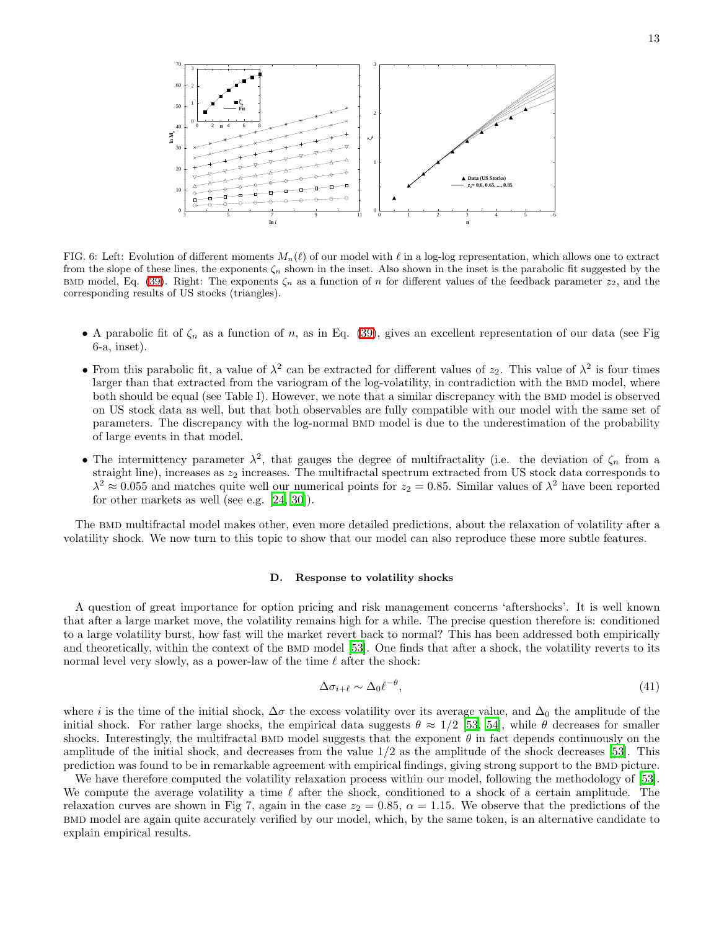

FIG. 6: Left: Evolution of different moments  $M_n(\ell)$  of our model with  $\ell$  in a log-log representation, which allows one to extract from the slope of these lines, the exponents  $\zeta_n$  shown in the inset. Also shown in the inset is the parabolic fit suggested by the BMD model, Eq. [\(39\)](#page-11-1). Right: The exponents  $\zeta_n$  as a function of n for different values of the feedback parameter  $z_2$ , and the corresponding results of US stocks (triangles).

- A parabolic fit of  $\zeta_n$  as a function of n, as in Eq. [\(39\)](#page-11-1), gives an excellent representation of our data (see Fig. 6-a, inset).
- From this parabolic fit, a value of  $\lambda^2$  can be extracted for different values of  $z_2$ . This value of  $\lambda^2$  is four times larger than that extracted from the variogram of the log-volatility, in contradiction with the BMD model, where both should be equal (see Table I). However, we note that a similar discrepancy with the BMD model is observed on US stock data as well, but that both observables are fully compatible with our model with the same set of parameters. The discrepancy with the log-normal BMD model is due to the underestimation of the probability of large events in that model.
- The intermittency parameter  $\lambda^2$ , that gauges the degree of multifractality (i.e. the deviation of  $\zeta_n$  from a straight line), increases as  $z_2$  increases. The multifractal spectrum extracted from US stock data corresponds to  $\lambda^2 \approx 0.055$  and matches quite well our numerical points for  $z_2 = 0.85$ . Similar values of  $\lambda^2$  have been reported for other markets as well (see e.g. [\[24,](#page-20-23) [30\]](#page-20-29)).

The bmd multifractal model makes other, even more detailed predictions, about the relaxation of volatility after a volatility shock. We now turn to this topic to show that our model can also reproduce these more subtle features.

#### D. Response to volatility shocks

A question of great importance for option pricing and risk management concerns 'aftershocks'. It is well known that after a large market move, the volatility remains high for a while. The precise question therefore is: conditioned to a large volatility burst, how fast will the market revert back to normal? This has been addressed both empirically and theoretically, within the context of the BMD model [\[53](#page-21-23)]. One finds that after a shock, the volatility reverts to its normal level very slowly, as a power-law of the time  $\ell$  after the shock:

$$
\Delta \sigma_{i+\ell} \sim \Delta_0 \ell^{-\theta},\tag{41}
$$

where i is the time of the initial shock,  $\Delta \sigma$  the excess volatility over its average value, and  $\Delta_0$  the amplitude of the initial shock. For rather large shocks, the empirical data suggests  $\theta \approx 1/2$  [\[53](#page-21-23), [54\]](#page-21-25), while  $\theta$  decreases for smaller shocks. Interestingly, the multifractal BMD model suggests that the exponent  $\theta$  in fact depends continuously on the amplitude of the initial shock, and decreases from the value  $1/2$  as the amplitude of the shock decreases [\[53\]](#page-21-23). This prediction was found to be in remarkable agreement with empirical findings, giving strong support to the BMD picture.

We have therefore computed the volatility relaxation process within our model, following the methodology of [\[53\]](#page-21-23). We compute the average volatility a time  $\ell$  after the shock, conditioned to a shock of a certain amplitude. The relaxation curves are shown in Fig 7, again in the case  $z_2 = 0.85$ ,  $\alpha = 1.15$ . We observe that the predictions of the bmd model are again quite accurately verified by our model, which, by the same token, is an alternative candidate to explain empirical results.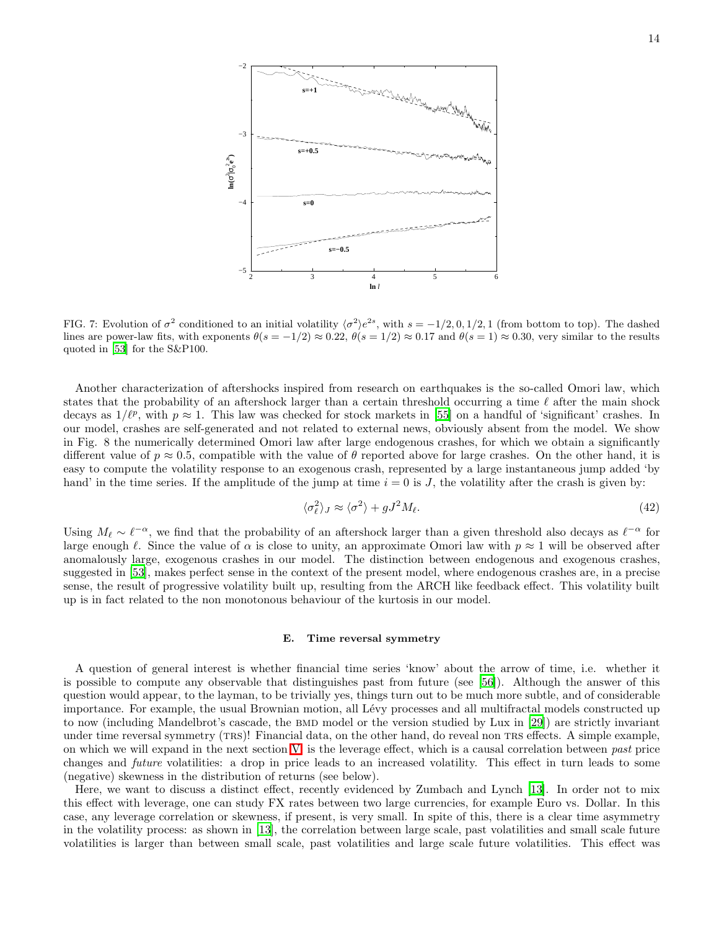

FIG. 7: Evolution of  $\sigma^2$  conditioned to an initial volatility  $\langle \sigma^2 \rangle e^{2s}$ , with  $s = -1/2, 0, 1/2, 1$  (from bottom to top). The dashed lines are power-law fits, with exponents  $\theta(s = -1/2) \approx 0.22$ ,  $\theta(s = 1/2) \approx 0.17$  and  $\theta(s = 1) \approx 0.30$ , very similar to the results quoted in [\[53](#page-21-23)] for the S&P100.

Another characterization of aftershocks inspired from research on earthquakes is the so-called Omori law, which states that the probability of an aftershock larger than a certain threshold occurring a time  $\ell$  after the main shock decays as  $1/\ell^p$ , with  $p \approx 1$ . This law was checked for stock markets in [\[55\]](#page-21-26) on a handful of 'significant' crashes. In our model, crashes are self-generated and not related to external news, obviously absent from the model. We show in Fig. 8 the numerically determined Omori law after large endogenous crashes, for which we obtain a significantly different value of  $p \approx 0.5$ , compatible with the value of  $\theta$  reported above for large crashes. On the other hand, it is easy to compute the volatility response to an exogenous crash, represented by a large instantaneous jump added 'by hand' in the time series. If the amplitude of the jump at time  $i = 0$  is J, the volatility after the crash is given by:

$$
\langle \sigma_{\ell}^2 \rangle_J \approx \langle \sigma^2 \rangle + gJ^2 M_{\ell}.\tag{42}
$$

Using  $M_{\ell} \sim \ell^{-\alpha}$ , we find that the probability of an aftershock larger than a given threshold also decays as  $\ell^{-\alpha}$  for large enough  $\ell$ . Since the value of  $\alpha$  is close to unity, an approximate Omori law with  $p \approx 1$  will be observed after anomalously large, exogenous crashes in our model. The distinction between endogenous and exogenous crashes, suggested in [\[53\]](#page-21-23), makes perfect sense in the context of the present model, where endogenous crashes are, in a precise sense, the result of progressive volatility built up, resulting from the ARCH like feedback effect. This volatility built up is in fact related to the non monotonous behaviour of the kurtosis in our model.

## E. Time reversal symmetry

A question of general interest is whether financial time series 'know' about the arrow of time, i.e. whether it is possible to compute any observable that distinguishes past from future (see [\[56](#page-21-27)]). Although the answer of this question would appear, to the layman, to be trivially yes, things turn out to be much more subtle, and of considerable importance. For example, the usual Brownian motion, all Lévy processes and all multifractal models constructed up to now (including Mandelbrot's cascade, the BMD model or the version studied by Lux in [\[29](#page-20-28)]) are strictly invariant under time reversal symmetry (TRS)! Financial data, on the other hand, do reveal non TRS effects. A simple example, on which we will expand in the next section  $V$ , is the leverage effect, which is a causal correlation between past price changes and future volatilities: a drop in price leads to an increased volatility. This effect in turn leads to some (negative) skewness in the distribution of returns (see below).

Here, we want to discuss a distinct effect, recently evidenced by Zumbach and Lynch [\[13](#page-20-12)]. In order not to mix this effect with leverage, one can study FX rates between two large currencies, for example Euro vs. Dollar. In this case, any leverage correlation or skewness, if present, is very small. In spite of this, there is a clear time asymmetry in the volatility process: as shown in [\[13\]](#page-20-12), the correlation between large scale, past volatilities and small scale future volatilities is larger than between small scale, past volatilities and large scale future volatilities. This effect was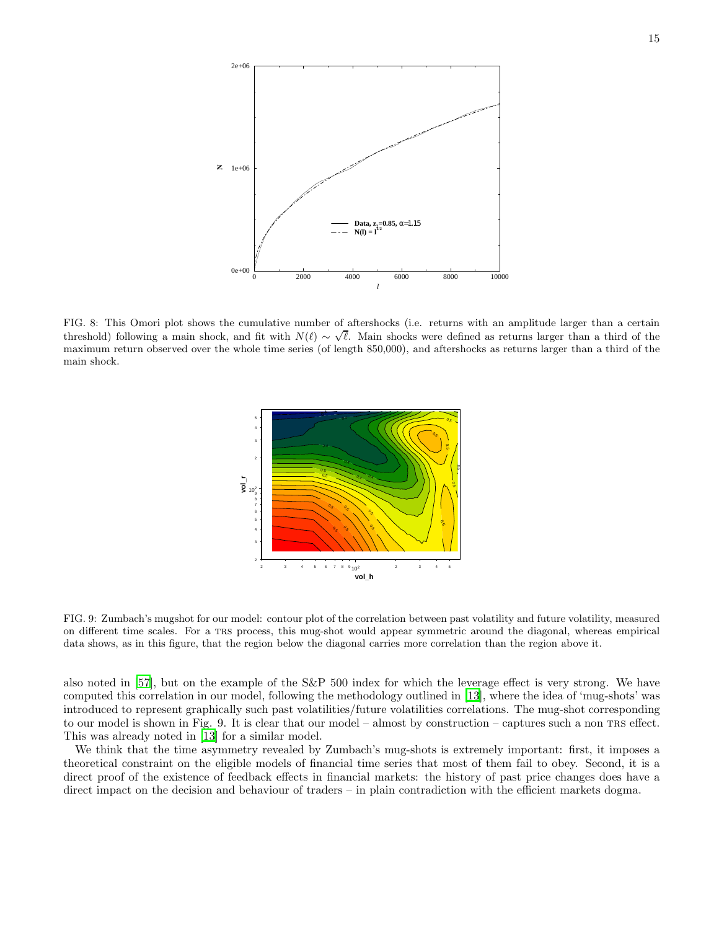

FIG. 8: This Omori plot shows the cumulative number of aftershocks (i.e. returns with an amplitude larger than a certain threshold) following a main shock, and fit with  $N(\ell) \sim \sqrt{\ell}$ . Main shocks were defined as returns larger than a third of the maximum return observed over the whole time series (of length 850,000), and aftershocks as returns larger than a third of the main shock.



FIG. 9: Zumbach's mugshot for our model: contour plot of the correlation between past volatility and future volatility, measured on different time scales. For a trs process, this mug-shot would appear symmetric around the diagonal, whereas empirical data shows, as in this figure, that the region below the diagonal carries more correlation than the region above it.

also noted in [\[57\]](#page-21-28), but on the example of the S&P 500 index for which the leverage effect is very strong. We have computed this correlation in our model, following the methodology outlined in [\[13](#page-20-12)], where the idea of 'mug-shots' was introduced to represent graphically such past volatilities/future volatilities correlations. The mug-shot corresponding to our model is shown in Fig. 9. It is clear that our model – almost by construction – captures such a non trs effect. This was already noted in [\[13](#page-20-12)] for a similar model.

We think that the time asymmetry revealed by Zumbach's mug-shots is extremely important: first, it imposes a theoretical constraint on the eligible models of financial time series that most of them fail to obey. Second, it is a direct proof of the existence of feedback effects in financial markets: the history of past price changes does have a direct impact on the decision and behaviour of traders – in plain contradiction with the efficient markets dogma.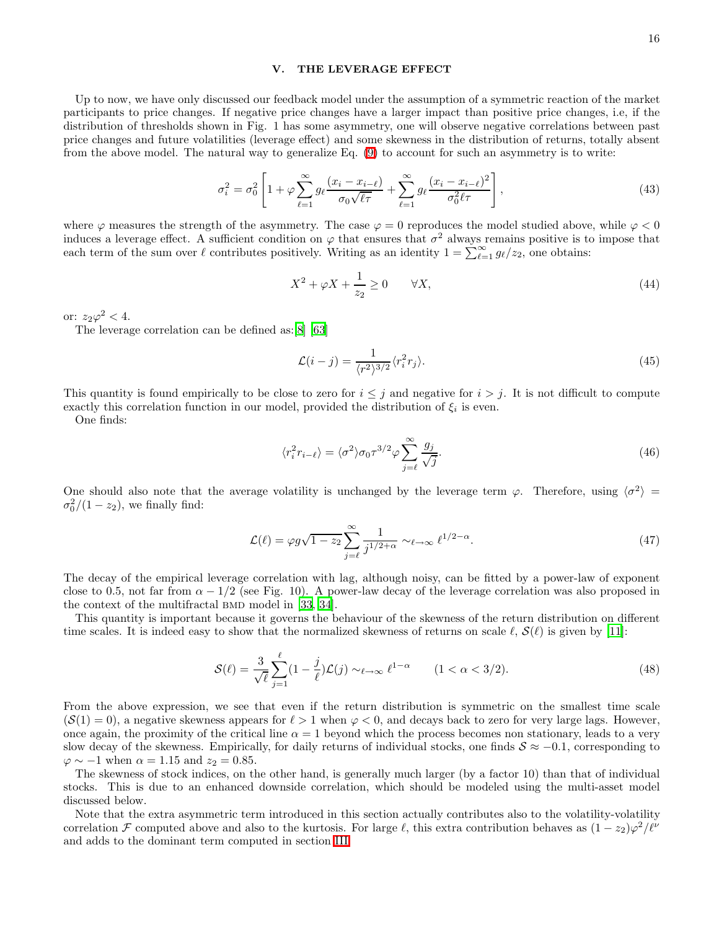## <span id="page-15-0"></span>V. THE LEVERAGE EFFECT

Up to now, we have only discussed our feedback model under the assumption of a symmetric reaction of the market participants to price changes. If negative price changes have a larger impact than positive price changes, i.e, if the distribution of thresholds shown in Fig. 1 has some asymmetry, one will observe negative correlations between past price changes and future volatilities (leverage effect) and some skewness in the distribution of returns, totally absent from the above model. The natural way to generalize Eq. [\(9\)](#page-3-0) to account for such an asymmetry is to write:

$$
\sigma_i^2 = \sigma_0^2 \left[ 1 + \varphi \sum_{\ell=1}^{\infty} g_\ell \frac{(x_i - x_{i-\ell})}{\sigma_0 \sqrt{\ell \tau}} + \sum_{\ell=1}^{\infty} g_\ell \frac{(x_i - x_{i-\ell})^2}{\sigma_0^2 \ell \tau} \right],
$$
\n(43)

where  $\varphi$  measures the strength of the asymmetry. The case  $\varphi = 0$  reproduces the model studied above, while  $\varphi < 0$ induces a leverage effect. A sufficient condition on  $\varphi$  that ensures that  $\sigma^2$  always remains positive is to impose that each term of the sum over  $\ell$  contributes positively. Writing as an identity  $1 = \sum_{\ell=1}^{\infty} g_{\ell}/z_2$ , one obtains:

$$
X^2 + \varphi X + \frac{1}{z_2} \ge 0 \qquad \forall X,\tag{44}
$$

or:  $z_2\varphi^2 < 4$ .

The leverage correlation can be defined as:[\[8](#page-20-7)] [\[63\]](#page-21-29)

$$
\mathcal{L}(i-j) = \frac{1}{\langle r^2 \rangle^{3/2}} \langle r_i^2 r_j \rangle.
$$
\n(45)

This quantity is found empirically to be close to zero for  $i \leq j$  and negative for  $i > j$ . It is not difficult to compute exactly this correlation function in our model, provided the distribution of  $\xi_i$  is even.

One finds:

$$
\langle r_i^2 r_{i-\ell} \rangle = \langle \sigma^2 \rangle \sigma_0 \tau^{3/2} \varphi \sum_{j=\ell}^{\infty} \frac{g_j}{\sqrt{j}}.
$$
\n(46)

One should also note that the average volatility is unchanged by the leverage term  $\varphi$ . Therefore, using  $\langle \sigma^2 \rangle$  =  $\sigma_0^2/(1-z_2)$ , we finally find:

$$
\mathcal{L}(\ell) = \varphi g \sqrt{1 - z_2} \sum_{j=\ell}^{\infty} \frac{1}{j^{1/2 + \alpha}} \sim_{\ell \to \infty} \ell^{1/2 - \alpha}.
$$
\n(47)

The decay of the empirical leverage correlation with lag, although noisy, can be fitted by a power-law of exponent close to 0.5, not far from  $\alpha - 1/2$  (see Fig. 10). A power-law decay of the leverage correlation was also proposed in the context of the multifractal BMD model in [\[33](#page-21-0), [34](#page-21-1)].

This quantity is important because it governs the behaviour of the skewness of the return distribution on different time scales. It is indeed easy to show that the normalized skewness of returns on scale  $\ell$ ,  $\mathcal{S}(\ell)$  is given by [\[11](#page-20-10)]:

$$
\mathcal{S}(\ell) = \frac{3}{\sqrt{\ell}} \sum_{j=1}^{\ell} (1 - \frac{j}{\ell}) \mathcal{L}(j) \sim_{\ell \to \infty} \ell^{1-\alpha} \qquad (1 < \alpha < 3/2). \tag{48}
$$

From the above expression, we see that even if the return distribution is symmetric on the smallest time scale  $(S(1) = 0)$ , a negative skewness appears for  $\ell > 1$  when  $\varphi < 0$ , and decays back to zero for very large lags. However, once again, the proximity of the critical line  $\alpha = 1$  beyond which the process becomes non stationary, leads to a very slow decay of the skewness. Empirically, for daily returns of individual stocks, one finds  $S \approx -0.1$ , corresponding to  $\varphi \sim -1$  when  $\alpha = 1.15$  and  $z_2 = 0.85$ .

The skewness of stock indices, on the other hand, is generally much larger (by a factor 10) than that of individual stocks. This is due to an enhanced downside correlation, which should be modeled using the multi-asset model discussed below.

Note that the extra asymmetric term introduced in this section actually contributes also to the volatility-volatility correlation F computed above and also to the kurtosis. For large  $\ell$ , this extra contribution behaves as  $(1 - z_2)\varphi^2/\ell^{\nu}$ and adds to the dominant term computed in section [III.](#page-4-0)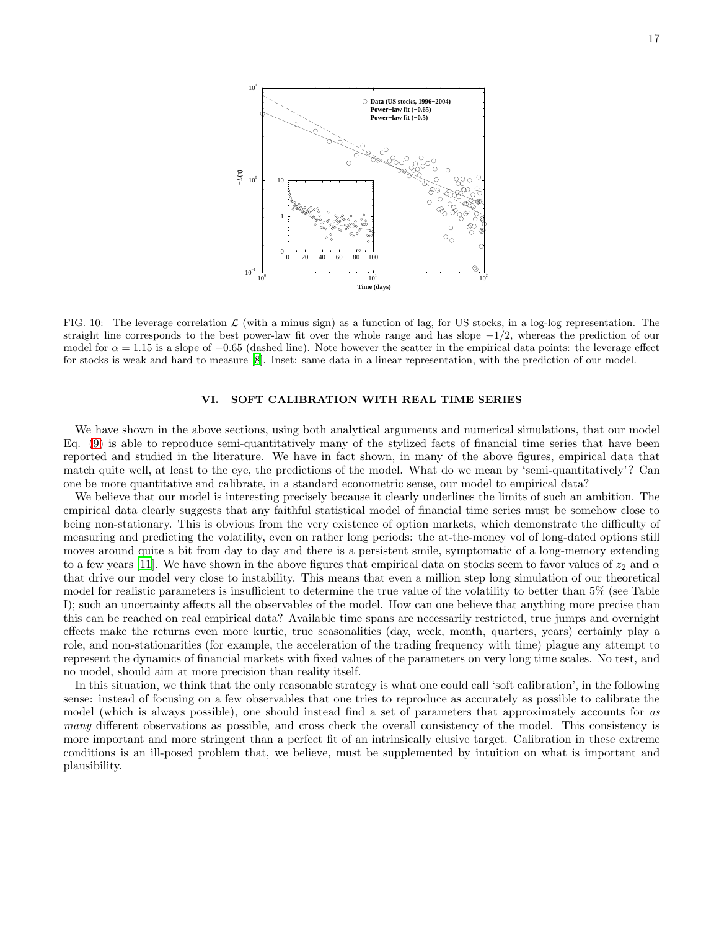

FIG. 10: The leverage correlation  $\mathcal L$  (with a minus sign) as a function of lag, for US stocks, in a log-log representation. The straight line corresponds to the best power-law fit over the whole range and has slope  $-1/2$ , whereas the prediction of our model for  $\alpha = 1.15$  is a slope of  $-0.65$  (dashed line). Note however the scatter in the empirical data points: the leverage effect for stocks is weak and hard to measure [\[8\]](#page-20-7). Inset: same data in a linear representation, with the prediction of our model.

## VI. SOFT CALIBRATION WITH REAL TIME SERIES

<span id="page-16-0"></span>We have shown in the above sections, using both analytical arguments and numerical simulations, that our model Eq. [\(9\)](#page-3-0) is able to reproduce semi-quantitatively many of the stylized facts of financial time series that have been reported and studied in the literature. We have in fact shown, in many of the above figures, empirical data that match quite well, at least to the eye, the predictions of the model. What do we mean by 'semi-quantitatively'? Can one be more quantitative and calibrate, in a standard econometric sense, our model to empirical data?

We believe that our model is interesting precisely because it clearly underlines the limits of such an ambition. The empirical data clearly suggests that any faithful statistical model of financial time series must be somehow close to being non-stationary. This is obvious from the very existence of option markets, which demonstrate the difficulty of measuring and predicting the volatility, even on rather long periods: the at-the-money vol of long-dated options still moves around quite a bit from day to day and there is a persistent smile, symptomatic of a long-memory extending to a few years [\[11](#page-20-10)]. We have shown in the above figures that empirical data on stocks seem to favor values of  $z_2$  and  $\alpha$ that drive our model very close to instability. This means that even a million step long simulation of our theoretical model for realistic parameters is insufficient to determine the true value of the volatility to better than 5% (see Table I); such an uncertainty affects all the observables of the model. How can one believe that anything more precise than this can be reached on real empirical data? Available time spans are necessarily restricted, true jumps and overnight effects make the returns even more kurtic, true seasonalities (day, week, month, quarters, years) certainly play a role, and non-stationarities (for example, the acceleration of the trading frequency with time) plague any attempt to represent the dynamics of financial markets with fixed values of the parameters on very long time scales. No test, and no model, should aim at more precision than reality itself.

In this situation, we think that the only reasonable strategy is what one could call 'soft calibration', in the following sense: instead of focusing on a few observables that one tries to reproduce as accurately as possible to calibrate the model (which is always possible), one should instead find a set of parameters that approximately accounts for as many different observations as possible, and cross check the overall consistency of the model. This consistency is more important and more stringent than a perfect fit of an intrinsically elusive target. Calibration in these extreme conditions is an ill-posed problem that, we believe, must be supplemented by intuition on what is important and plausibility.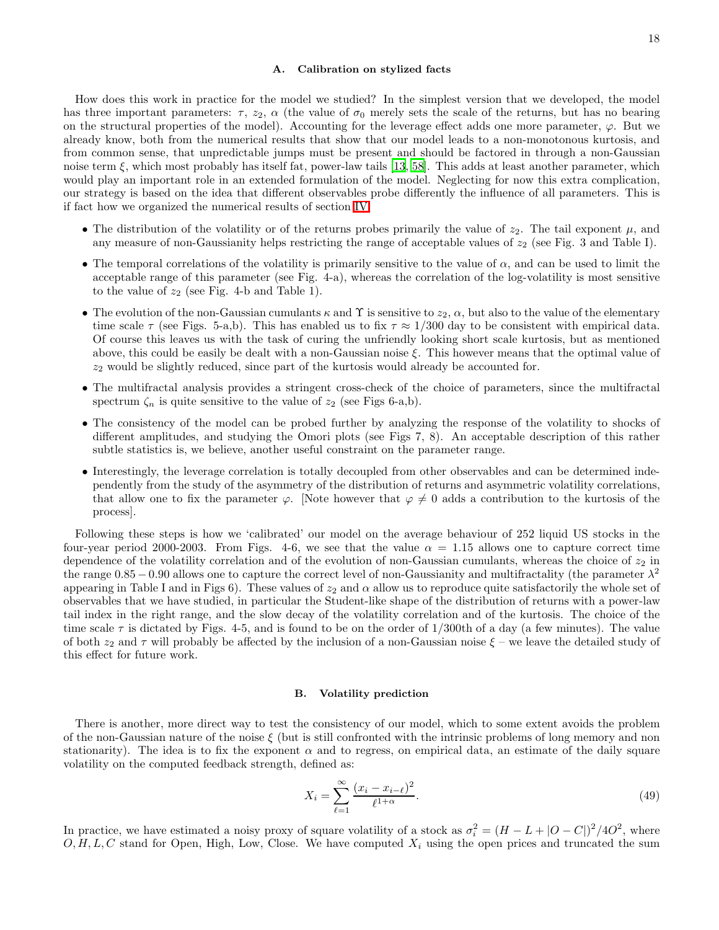#### A. Calibration on stylized facts

How does this work in practice for the model we studied? In the simplest version that we developed, the model has three important parameters:  $\tau$ ,  $z_2$ ,  $\alpha$  (the value of  $\sigma_0$  merely sets the scale of the returns, but has no bearing on the structural properties of the model). Accounting for the leverage effect adds one more parameter,  $\varphi$ . But we already know, both from the numerical results that show that our model leads to a non-monotonous kurtosis, and from common sense, that unpredictable jumps must be present and should be factored in through a non-Gaussian noise term ξ, which most probably has itself fat, power-law tails [\[13](#page-20-12), [58\]](#page-21-30). This adds at least another parameter, which would play an important role in an extended formulation of the model. Neglecting for now this extra complication, our strategy is based on the idea that different observables probe differently the influence of all parameters. This is if fact how we organized the numerical results of section [IV:](#page-6-1)

- The distribution of the volatility or of the returns probes primarily the value of  $z_2$ . The tail exponent  $\mu$ , and any measure of non-Gaussianity helps restricting the range of acceptable values of  $z_2$  (see Fig. 3 and Table I).
- The temporal correlations of the volatility is primarily sensitive to the value of  $\alpha$ , and can be used to limit the acceptable range of this parameter (see Fig. 4-a), whereas the correlation of the log-volatility is most sensitive to the value of  $z_2$  (see Fig. 4-b and Table 1).
- The evolution of the non-Gaussian cumulants  $\kappa$  and  $\Upsilon$  is sensitive to  $z_2$ ,  $\alpha$ , but also to the value of the elementary time scale  $\tau$  (see Figs. 5-a,b). This has enabled us to fix  $\tau \approx 1/300$  day to be consistent with empirical data. Of course this leaves us with the task of curing the unfriendly looking short scale kurtosis, but as mentioned above, this could be easily be dealt with a non-Gaussian noise  $\xi$ . This however means that the optimal value of  $z_2$  would be slightly reduced, since part of the kurtosis would already be accounted for.
- The multifractal analysis provides a stringent cross-check of the choice of parameters, since the multifractal spectrum  $\zeta_n$  is quite sensitive to the value of  $z_2$  (see Figs 6-a,b).
- The consistency of the model can be probed further by analyzing the response of the volatility to shocks of different amplitudes, and studying the Omori plots (see Figs 7, 8). An acceptable description of this rather subtle statistics is, we believe, another useful constraint on the parameter range.
- Interestingly, the leverage correlation is totally decoupled from other observables and can be determined independently from the study of the asymmetry of the distribution of returns and asymmetric volatility correlations, that allow one to fix the parameter  $\varphi$ . [Note however that  $\varphi \neq 0$  adds a contribution to the kurtosis of the process].

Following these steps is how we 'calibrated' our model on the average behaviour of 252 liquid US stocks in the four-year period 2000-2003. From Figs. 4-6, we see that the value  $\alpha = 1.15$  allows one to capture correct time dependence of the volatility correlation and of the evolution of non-Gaussian cumulants, whereas the choice of  $z_2$  in the range  $0.85 - 0.90$  allows one to capture the correct level of non-Gaussianity and multifractality (the parameter  $\lambda^2$ appearing in Table I and in Figs 6). These values of  $z_2$  and  $\alpha$  allow us to reproduce quite satisfactorily the whole set of observables that we have studied, in particular the Student-like shape of the distribution of returns with a power-law tail index in the right range, and the slow decay of the volatility correlation and of the kurtosis. The choice of the time scale  $\tau$  is dictated by Figs. 4-5, and is found to be on the order of  $1/300$ th of a day (a few minutes). The value of both  $z_2$  and  $\tau$  will probably be affected by the inclusion of a non-Gaussian noise  $\xi$  – we leave the detailed study of this effect for future work.

#### B. Volatility prediction

There is another, more direct way to test the consistency of our model, which to some extent avoids the problem of the non-Gaussian nature of the noise  $\xi$  (but is still confronted with the intrinsic problems of long memory and non stationarity). The idea is to fix the exponent  $\alpha$  and to regress, on empirical data, an estimate of the daily square volatility on the computed feedback strength, defined as:

$$
X_i = \sum_{\ell=1}^{\infty} \frac{(x_i - x_{i-\ell})^2}{\ell^{1+\alpha}}.
$$
\n(49)

In practice, we have estimated a noisy proxy of square volatility of a stock as  $\sigma_i^2 = (H - L + |O - C|)^2 / 4O^2$ , where  $O, H, L, C$  stand for Open, High, Low, Close. We have computed  $X_i$  using the open prices and truncated the sum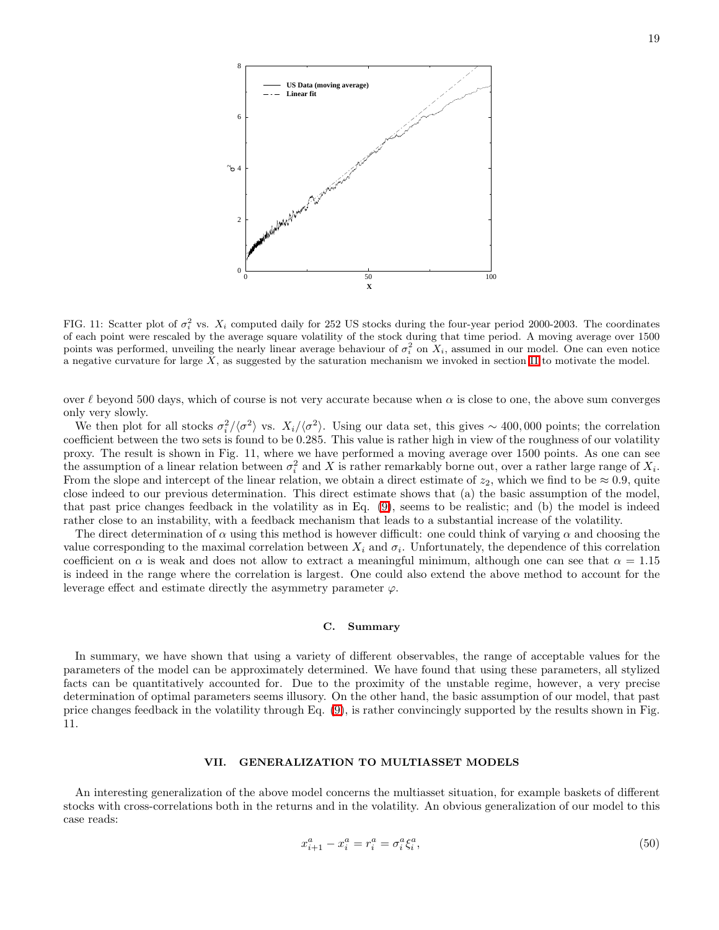

FIG. 11: Scatter plot of  $\sigma_i^2$  vs.  $X_i$  computed daily for 252 US stocks during the four-year period 2000-2003. The coordinates of each point were rescaled by the average square volatility of the stock during that time period. A moving average over 1500 points was performed, unveiling the nearly linear average behaviour of  $\sigma_i^2$  on  $X_i$ , assumed in our model. One can even notice a negative curvature for large  $X$ , as suggested by the saturation mechanism we invoked in section [II](#page-1-2) to motivate the model.

over  $\ell$  beyond 500 days, which of course is not very accurate because when  $\alpha$  is close to one, the above sum converges only very slowly.

We then plot for all stocks  $\sigma_i^2/\langle \sigma^2 \rangle$  vs.  $X_i/\langle \sigma^2 \rangle$ . Using our data set, this gives ~ 400,000 points; the correlation coefficient between the two sets is found to be 0.285. This value is rather high in view of the roughness of our volatility proxy. The result is shown in Fig. 11, where we have performed a moving average over 1500 points. As one can see the assumption of a linear relation between  $\sigma_i^2$  and X is rather remarkably borne out, over a rather large range of  $X_i$ . From the slope and intercept of the linear relation, we obtain a direct estimate of  $z_2$ , which we find to be  $\approx 0.9$ , quite close indeed to our previous determination. This direct estimate shows that (a) the basic assumption of the model, that past price changes feedback in the volatility as in Eq. [\(9\)](#page-3-0), seems to be realistic; and (b) the model is indeed rather close to an instability, with a feedback mechanism that leads to a substantial increase of the volatility.

The direct determination of  $\alpha$  using this method is however difficult: one could think of varying  $\alpha$  and choosing the value corresponding to the maximal correlation between  $X_i$  and  $\sigma_i$ . Unfortunately, the dependence of this correlation coefficient on  $\alpha$  is weak and does not allow to extract a meaningful minimum, although one can see that  $\alpha = 1.15$ is indeed in the range where the correlation is largest. One could also extend the above method to account for the leverage effect and estimate directly the asymmetry parameter  $\varphi$ .

## C. Summary

In summary, we have shown that using a variety of different observables, the range of acceptable values for the parameters of the model can be approximately determined. We have found that using these parameters, all stylized facts can be quantitatively accounted for. Due to the proximity of the unstable regime, however, a very precise determination of optimal parameters seems illusory. On the other hand, the basic assumption of our model, that past price changes feedback in the volatility through Eq. [\(9\)](#page-3-0), is rather convincingly supported by the results shown in Fig. 11.

## VII. GENERALIZATION TO MULTIASSET MODELS

An interesting generalization of the above model concerns the multiasset situation, for example baskets of different stocks with cross-correlations both in the returns and in the volatility. An obvious generalization of our model to this case reads:

$$
x_{i+1}^a - x_i^a = r_i^a = \sigma_i^a \xi_i^a,\tag{50}
$$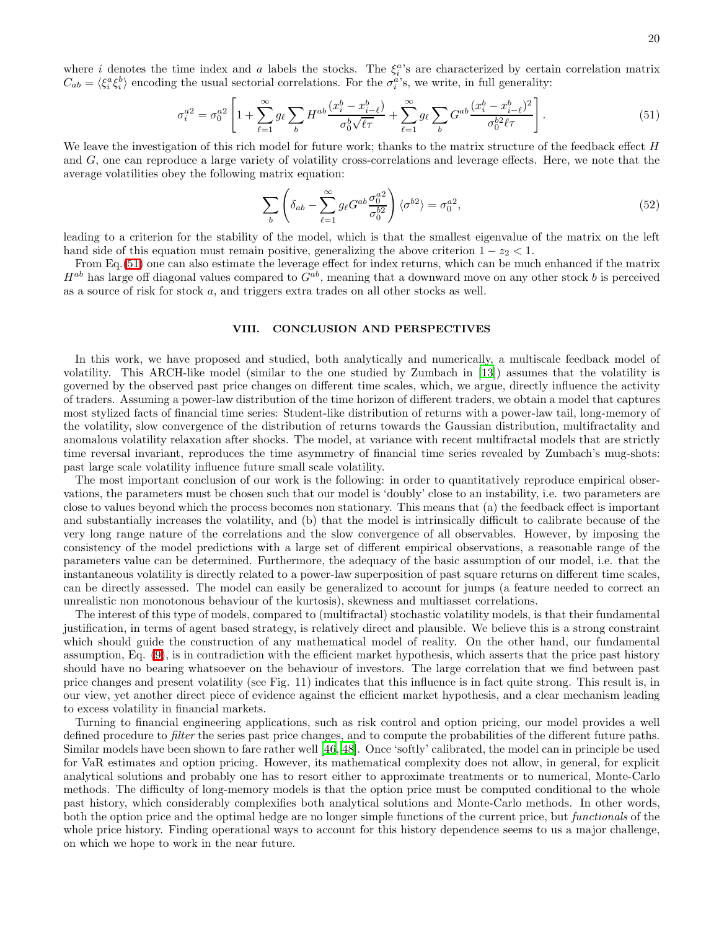<span id="page-19-0"></span>where *i* denotes the time index and *a* labels the stocks. The  $\xi_i^{a}$ 's are characterized by certain correlation matrix  $C_{ab} = \langle \xi_i^a \xi_i^b \rangle$  encoding the usual sectorial correlations. For the  $\sigma_i^a$ 's, we write, in full generality:

$$
\sigma_i^{a2} = \sigma_0^{a2} \left[ 1 + \sum_{\ell=1}^{\infty} g_\ell \sum_b H^{ab} \frac{(x_i^b - x_{i-\ell}^b)}{\sigma_0^b \sqrt{\ell \tau}} + \sum_{\ell=1}^{\infty} g_\ell \sum_b G^{ab} \frac{(x_i^b - x_{i-\ell}^b)^2}{\sigma_0^{b2} \ell \tau} \right].
$$
\n(51)

We leave the investigation of this rich model for future work; thanks to the matrix structure of the feedback effect H and G, one can reproduce a large variety of volatility cross-correlations and leverage effects. Here, we note that the average volatilities obey the following matrix equation:

$$
\sum_{b} \left( \delta_{ab} - \sum_{\ell=1}^{\infty} g_{\ell} G^{ab} \frac{\sigma_0^{a2}}{\sigma_0^{b2}} \right) \langle \sigma^{b2} \rangle = \sigma_0^{a2},\tag{52}
$$

leading to a criterion for the stability of the model, which is that the smallest eigenvalue of the matrix on the left hand side of this equation must remain positive, generalizing the above criterion  $1 - z_2 < 1$ .

From Eq.[\(51\)](#page-19-0) one can also estimate the leverage effect for index returns, which can be much enhanced if the matrix  $H^{ab}$  has large off diagonal values compared to  $G^{ab}$ , meaning that a downward move on any other stock b is perceived as a source of risk for stock a, and triggers extra trades on all other stocks as well.

## VIII. CONCLUSION AND PERSPECTIVES

In this work, we have proposed and studied, both analytically and numerically, a multiscale feedback model of volatility. This ARCH-like model (similar to the one studied by Zumbach in [\[13](#page-20-12)]) assumes that the volatility is governed by the observed past price changes on different time scales, which, we argue, directly influence the activity of traders. Assuming a power-law distribution of the time horizon of different traders, we obtain a model that captures most stylized facts of financial time series: Student-like distribution of returns with a power-law tail, long-memory of the volatility, slow convergence of the distribution of returns towards the Gaussian distribution, multifractality and anomalous volatility relaxation after shocks. The model, at variance with recent multifractal models that are strictly time reversal invariant, reproduces the time asymmetry of financial time series revealed by Zumbach's mug-shots: past large scale volatility influence future small scale volatility.

The most important conclusion of our work is the following: in order to quantitatively reproduce empirical observations, the parameters must be chosen such that our model is 'doubly' close to an instability, i.e. two parameters are close to values beyond which the process becomes non stationary. This means that (a) the feedback effect is important and substantially increases the volatility, and (b) that the model is intrinsically difficult to calibrate because of the very long range nature of the correlations and the slow convergence of all observables. However, by imposing the consistency of the model predictions with a large set of different empirical observations, a reasonable range of the parameters value can be determined. Furthermore, the adequacy of the basic assumption of our model, i.e. that the instantaneous volatility is directly related to a power-law superposition of past square returns on different time scales, can be directly assessed. The model can easily be generalized to account for jumps (a feature needed to correct an unrealistic non monotonous behaviour of the kurtosis), skewness and multiasset correlations.

The interest of this type of models, compared to (multifractal) stochastic volatility models, is that their fundamental justification, in terms of agent based strategy, is relatively direct and plausible. We believe this is a strong constraint which should guide the construction of any mathematical model of reality. On the other hand, our fundamental assumption, Eq. [\(9\)](#page-3-0), is in contradiction with the efficient market hypothesis, which asserts that the price past history should have no bearing whatsoever on the behaviour of investors. The large correlation that we find between past price changes and present volatility (see Fig. 11) indicates that this influence is in fact quite strong. This result is, in our view, yet another direct piece of evidence against the efficient market hypothesis, and a clear mechanism leading to excess volatility in financial markets.

Turning to financial engineering applications, such as risk control and option pricing, our model provides a well defined procedure to *filter* the series past price changes, and to compute the probabilities of the different future paths. Similar models have been shown to fare rather well [\[46](#page-21-13), [48\]](#page-21-15). Once 'softly' calibrated, the model can in principle be used for VaR estimates and option pricing. However, its mathematical complexity does not allow, in general, for explicit analytical solutions and probably one has to resort either to approximate treatments or to numerical, Monte-Carlo methods. The difficulty of long-memory models is that the option price must be computed conditional to the whole past history, which considerably complexifies both analytical solutions and Monte-Carlo methods. In other words, both the option price and the optimal hedge are no longer simple functions of the current price, but functionals of the whole price history. Finding operational ways to account for this history dependence seems to us a major challenge, on which we hope to work in the near future.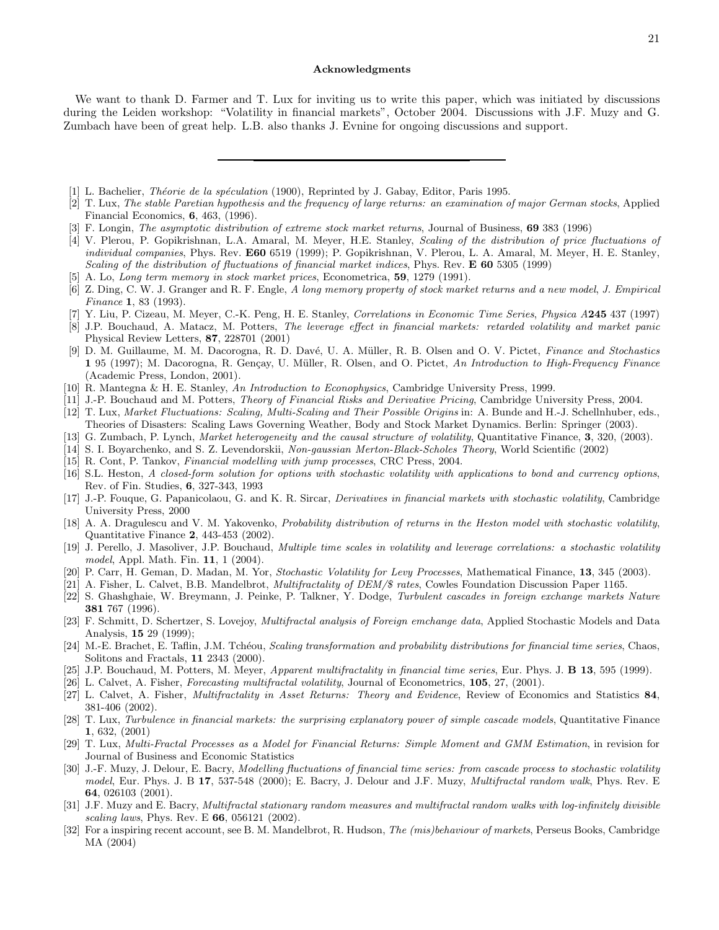### Acknowledgments

We want to thank D. Farmer and T. Lux for inviting us to write this paper, which was initiated by discussions during the Leiden workshop: "Volatility in financial markets", October 2004. Discussions with J.F. Muzy and G. Zumbach have been of great help. L.B. also thanks J. Evnine for ongoing discussions and support.

- <span id="page-20-0"></span>[1] L. Bachelier, *Théorie de la spéculation* (1900), Reprinted by J. Gabay, Editor, Paris 1995.
- <span id="page-20-1"></span>[2] T. Lux, The stable Paretian hypothesis and the frequency of large returns: an examination of major German stocks, Applied Financial Economics, 6, 463, (1996).
- <span id="page-20-2"></span>[3] F. Longin, *The asymptotic distribution of extreme stock market returns*, Journal of Business, 69 383 (1996)
- <span id="page-20-3"></span>[4] V. Plerou, P. Gopikrishnan, L.A. Amaral, M. Meyer, H.E. Stanley, Scaling of the distribution of price fluctuations of individual companies, Phys. Rev. E60 6519 (1999); P. Gopikrishnan, V. Plerou, L. A. Amaral, M. Meyer, H. E. Stanley, Scaling of the distribution of fluctuations of financial market indices, Phys. Rev. **E** 60 5305 (1999)
- <span id="page-20-4"></span>[5] A. Lo, Long term memory in stock market prices, Econometrica, 59, 1279 (1991).
- <span id="page-20-5"></span>[6] Z. Ding, C. W. J. Granger and R. F. Engle, A long memory property of stock market returns and a new model, J. Empirical Finance 1, 83 (1993).
- <span id="page-20-6"></span>[7] Y. Liu, P. Cizeau, M. Meyer, C.-K. Peng, H. E. Stanley, Correlations in Economic Time Series, Physica A245 437 (1997)
- <span id="page-20-7"></span>[8] J.P. Bouchaud, A. Matacz, M. Potters, The leverage effect in financial markets: retarded volatility and market panic Physical Review Letters, 87, 228701 (2001)
- <span id="page-20-8"></span>[9] D. M. Guillaume, M. M. Dacorogna, R. D. Davé, U. A. Müller, R. B. Olsen and O. V. Pictet, Finance and Stochastics 1 95 (1997); M. Dacorogna, R. Gençay, U. Müller, R. Olsen, and O. Pictet, An Introduction to High-Frequency Finance (Academic Press, London, 2001).
- <span id="page-20-9"></span>[10] R. Mantegna & H. E. Stanley, An Introduction to Econophysics, Cambridge University Press, 1999.
- <span id="page-20-10"></span>[11] J.-P. Bouchaud and M. Potters, Theory of Financial Risks and Derivative Pricing, Cambridge University Press, 2004.
- <span id="page-20-11"></span>[12] T. Lux, Market Fluctuations: Scaling, Multi-Scaling and Their Possible Origins in: A. Bunde and H.-J. Schellnhuber, eds., Theories of Disasters: Scaling Laws Governing Weather, Body and Stock Market Dynamics. Berlin: Springer (2003).
- <span id="page-20-13"></span><span id="page-20-12"></span>[13] G. Zumbach, P. Lynch, *Market heterogeneity and the causal structure of volatility*, Quantitative Finance, **3**, 320, (2003).
- [14] S. I. Boyarchenko, and S. Z. Levendorskii, Non-gaussian Merton-Black-Scholes Theory, World Scientific (2002)
- [15] R. Cont, P. Tankov, Financial modelling with jump processes, CRC Press, 2004.
- <span id="page-20-15"></span><span id="page-20-14"></span>[16] S.L. Heston, A closed-form solution for options with stochastic volatility with applications to bond and currency options, Rev. of Fin. Studies, 6, 327-343, 1993
- <span id="page-20-16"></span>[17] J.-P. Fouque, G. Papanicolaou, G. and K. R. Sircar, Derivatives in financial markets with stochastic volatility, Cambridge University Press, 2000
- <span id="page-20-17"></span>[18] A. A. Dragulescu and V. M. Yakovenko, Probability distribution of returns in the Heston model with stochastic volatility, Quantitative Finance 2, 443-453 (2002).
- <span id="page-20-18"></span>[19] J. Perello, J. Masoliver, J.P. Bouchaud, Multiple time scales in volatility and leverage correlations: a stochastic volatility model, Appl. Math. Fin. **11**, 1 (2004).
- <span id="page-20-20"></span><span id="page-20-19"></span>[20] P. Carr, H. Geman, D. Madan, M. Yor, Stochastic Volatility for Levy Processes, Mathematical Finance, 13, 345 (2003).
- [21] A. Fisher, L. Calvet, B.B. Mandelbrot, *Multifractality of DEM/\$ rates*, Cowles Foundation Discussion Paper 1165.
- <span id="page-20-21"></span>[22] S. Ghashghaie, W. Breymann, J. Peinke, P. Talkner, Y. Dodge, Turbulent cascades in foreign exchange markets Nature 381 767 (1996).
- <span id="page-20-22"></span>[23] F. Schmitt, D. Schertzer, S. Lovejoy, Multifractal analysis of Foreign emchange data, Applied Stochastic Models and Data Analysis, 15 29 (1999);
- <span id="page-20-23"></span>[24] M.-E. Brachet, E. Taflin, J.M. Tchéou, Scaling transformation and probability distributions for financial time series, Chaos, Solitons and Fractals, 11 2343 (2000).
- <span id="page-20-24"></span>[25] J.P. Bouchaud, M. Potters, M. Meyer, Apparent multifractality in financial time series, Eur. Phys. J. B 13, 595 (1999).
- [26] L. Calvet, A. Fisher, Forecasting multifractal volatility, Journal of Econometrics, 105, 27, (2001).
- <span id="page-20-26"></span><span id="page-20-25"></span>[27] L. Calvet, A. Fisher, *Multifractality in Asset Returns: Theory and Evidence*, Review of Economics and Statistics 84, 381-406 (2002).
- <span id="page-20-27"></span>[28] T. Lux, Turbulence in financial markets: the surprising explanatory power of simple cascade models, Quantitative Finance 1, 632, (2001)
- <span id="page-20-28"></span>[29] T. Lux, Multi-Fractal Processes as a Model for Financial Returns: Simple Moment and GMM Estimation, in revision for Journal of Business and Economic Statistics
- <span id="page-20-29"></span>[30] J.-F. Muzy, J. Delour, E. Bacry, Modelling fluctuations of financial time series: from cascade process to stochastic volatility model, Eur. Phys. J. B 17, 537-548 (2000); E. Bacry, J. Delour and J.F. Muzy, *Multifractal random walk*, Phys. Rev. E 64, 026103 (2001).
- <span id="page-20-30"></span>[31] J.F. Muzy and E. Bacry, *Multifractal stationary random measures and multifractal random walks with log-infinitely divisible* scaling laws, Phys. Rev. E  $66$ , 056121 (2002).
- <span id="page-20-31"></span>[32] For a inspiring recent account, see B. M. Mandelbrot, R. Hudson, The (mis)behaviour of markets, Perseus Books, Cambridge MA (2004)